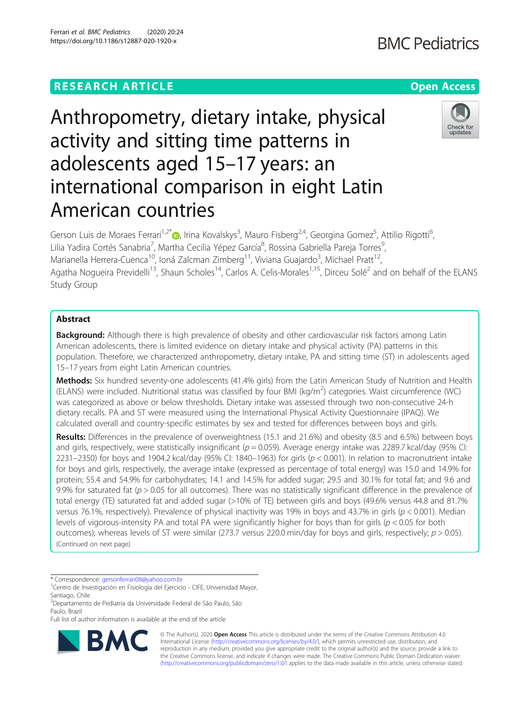# **RESEARCH ARTICLE Example 2014 12:30 The Contract of Contract ACCESS**

# Anthropometry, dietary intake, physical activity and sitting time patterns in adolescents aged 15–17 years: an international comparison in eight Latin American countries

Gerson Luis de Moraes Ferrari<sup>1,2[\\*](http://orcid.org/0000-0003-3177-6576)</sup>®, Irina Kovalskys<sup>3</sup>, Mauro Fisberg<sup>2,4</sup>, Georgina Gomez<sup>5</sup>, Attilio Rigotti<sup>6</sup> י<br>, Lilia Yadira Cortés Sanabria<sup>7</sup>, Martha Cecilia Yépez García<sup>8</sup>, Rossina Gabriella Pareja Torres<sup>9</sup> , Marianella Herrera-Cuenca<sup>10</sup>, Ioná Zalcman Zimberg<sup>11</sup>, Viviana Guajardo<sup>3</sup>, Michael Pratt<sup>12</sup>, Agatha Nogueira Previdelli<sup>13</sup>, Shaun Scholes<sup>14</sup>, Carlos A. Celis-Morales<sup>1,15</sup>, Dirceu Solé<sup>2</sup> and on behalf of the ELANS Study Group

# Abstract

Background: Although there is high prevalence of obesity and other cardiovascular risk factors among Latin American adolescents, there is limited evidence on dietary intake and physical activity (PA) patterns in this population. Therefore, we characterized anthropometry, dietary intake, PA and sitting time (ST) in adolescents aged 15–17 years from eight Latin American countries.

Methods: Six hundred seventy-one adolescents (41.4% girls) from the Latin American Study of Nutrition and Health (ELANS) were included. Nutritional status was classified by four BMI (kg/m<sup>2</sup>) categories. Waist circumference (WC) was categorized as above or below thresholds. Dietary intake was assessed through two non-consecutive 24-h dietary recalls. PA and ST were measured using the International Physical Activity Questionnaire (IPAQ). We calculated overall and country-specific estimates by sex and tested for differences between boys and girls.

Results: Differences in the prevalence of overweightness (15.1 and 21.6%) and obesity (8.5 and 6.5%) between boys and girls, respectively, were statistically insignificant ( $p = 0.059$ ). Average energy intake was 2289.7 kcal/day (95% CI: 2231–2350) for boys and 1904.2 kcal/day (95% CI: 1840–1963) for girls ( $p < 0.001$ ). In relation to macronutrient intake for boys and girls, respectively, the average intake (expressed as percentage of total energy) was 15.0 and 14.9% for protein; 55.4 and 54.9% for carbohydrates; 14.1 and 14.5% for added sugar; 29.5 and 30.1% for total fat; and 9.6 and 9.9% for saturated fat  $(p > 0.05$  for all outcomes). There was no statistically significant difference in the prevalence of total energy (TE) saturated fat and added sugar (>10% of TE) between girls and boys (49.6% versus 44.8 and 81.7% versus 76.1%, respectively). Prevalence of physical inactivity was 19% in boys and 43.7% in girls ( $p < 0.001$ ). Median levels of vigorous-intensity PA and total PA were significantly higher for boys than for girls ( $p < 0.05$  for both outcomes); whereas levels of ST were similar (273.7 versus 220.0 min/day for boys and girls, respectively;  $p > 0.05$ ). (Continued on next page)

\* Correspondence: [gersonferrari08@yahoo.com.br](mailto:gersonferrari08@yahoo.com.br) <sup>1</sup>

© The Author(s). 2020 **Open Access** This article is distributed under the terms of the Creative Commons Attribution 4.0 International License [\(http://creativecommons.org/licenses/by/4.0/](http://creativecommons.org/licenses/by/4.0/)), which permits unrestricted use, distribution, and reproduction in any medium, provided you give appropriate credit to the original author(s) and the source, provide a link to the Creative Commons license, and indicate if changes were made. The Creative Commons Public Domain Dedication waiver [\(http://creativecommons.org/publicdomain/zero/1.0/](http://creativecommons.org/publicdomain/zero/1.0/)) applies to the data made available in this article, unless otherwise stated.





Centro de Investigación en Fisiología del Ejercicio - CIFE, Universidad Mayor, Santiago, Chile

<sup>2</sup> Departamento de Pediatria da Universidade Federal de São Paulo, São Paulo, Brazil

Full list of author information is available at the end of the article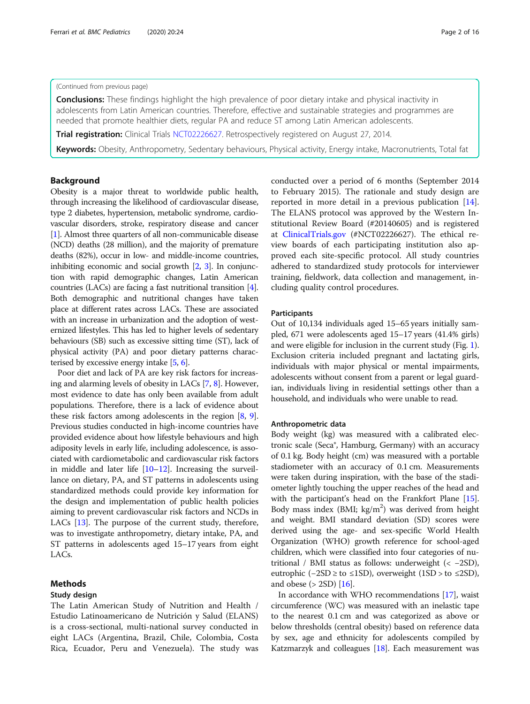# (Continued from previous page)

**Conclusions:** These findings highlight the high prevalence of poor dietary intake and physical inactivity in adolescents from Latin American countries. Therefore, effective and sustainable strategies and programmes are needed that promote healthier diets, regular PA and reduce ST among Latin American adolescents.

Trial registration: Clinical Trials [NCT02226627](https://clinicaltrials.gov/ct2/show/NCT02226627). Retrospectively registered on August 27, 2014.

Keywords: Obesity, Anthropometry, Sedentary behaviours, Physical activity, Energy intake, Macronutrients, Total fat

# Background

Obesity is a major threat to worldwide public health, through increasing the likelihood of cardiovascular disease, type 2 diabetes, hypertension, metabolic syndrome, cardiovascular disorders, stroke, respiratory disease and cancer [[1](#page-14-0)]. Almost three quarters of all non-communicable disease (NCD) deaths (28 million), and the majority of premature deaths (82%), occur in low- and middle-income countries, inhibiting economic and social growth [\[2,](#page-14-0) [3\]](#page-14-0). In conjunction with rapid demographic changes, Latin American countries (LACs) are facing a fast nutritional transition  $[4]$  $[4]$  $[4]$ . Both demographic and nutritional changes have taken place at different rates across LACs. These are associated with an increase in urbanization and the adoption of westernized lifestyles. This has led to higher levels of sedentary behaviours (SB) such as excessive sitting time (ST), lack of physical activity (PA) and poor dietary patterns characterised by excessive energy intake [\[5,](#page-14-0) [6](#page-14-0)].

Poor diet and lack of PA are key risk factors for increasing and alarming levels of obesity in LACs [[7](#page-14-0), [8\]](#page-14-0). However, most evidence to date has only been available from adult populations. Therefore, there is a lack of evidence about these risk factors among adolescents in the region [\[8,](#page-14-0) [9](#page-14-0)]. Previous studies conducted in high-income countries have provided evidence about how lifestyle behaviours and high adiposity levels in early life, including adolescence, is associated with cardiometabolic and cardiovascular risk factors in middle and later life  $[10-12]$  $[10-12]$  $[10-12]$  $[10-12]$ . Increasing the surveillance on dietary, PA, and ST patterns in adolescents using standardized methods could provide key information for the design and implementation of public health policies aiming to prevent cardiovascular risk factors and NCDs in LACs [[13](#page-14-0)]. The purpose of the current study, therefore, was to investigate anthropometry, dietary intake, PA, and ST patterns in adolescents aged 15–17 years from eight LACs.

# Methods

# Study design

The Latin American Study of Nutrition and Health / Estudio Latinoamericano de Nutrición y Salud (ELANS) is a cross-sectional, multi-national survey conducted in eight LACs (Argentina, Brazil, Chile, Colombia, Costa Rica, Ecuador, Peru and Venezuela). The study was conducted over a period of 6 months (September 2014 to February 2015). The rationale and study design are reported in more detail in a previous publication [\[14](#page-14-0)]. The ELANS protocol was approved by the Western Institutional Review Board (#20140605) and is registered at [ClinicalTrials.gov](http://clinicaltrials.gov) (#NCT02226627). The ethical review boards of each participating institution also approved each site-specific protocol. All study countries adhered to standardized study protocols for interviewer training, fieldwork, data collection and management, including quality control procedures.

# Participants

Out of 10,134 individuals aged 15–65 years initially sampled, 671 were adolescents aged 15–17 years (41.4% girls) and were eligible for inclusion in the current study (Fig. [1](#page-2-0)). Exclusion criteria included pregnant and lactating girls, individuals with major physical or mental impairments, adolescents without consent from a parent or legal guardian, individuals living in residential settings other than a household, and individuals who were unable to read.

#### Anthropometric data

Body weight (kg) was measured with a calibrated electronic scale (Seca®, Hamburg, Germany) with an accuracy of 0.1 kg. Body height (cm) was measured with a portable stadiometer with an accuracy of 0.1 cm. Measurements were taken during inspiration, with the base of the stadiometer lightly touching the upper reaches of the head and with the participant's head on the Frankfort Plane [[15](#page-14-0)]. Body mass index (BMI;  $\text{kg/m}^2$ ) was derived from height and weight. BMI standard deviation (SD) scores were derived using the age- and sex-specific World Health Organization (WHO) growth reference for school-aged children, which were classified into four categories of nutritional / BMI status as follows: underweight  $\left($  < -2SD), eutrophic ( $-2SD \geq$  to  $\leq$ 1SD), overweight (1SD > to  $\leq$ 2SD), and obese  $(> 2SD)$  [[16](#page-14-0)].

In accordance with WHO recommendations [\[17\]](#page-14-0), waist circumference (WC) was measured with an inelastic tape to the nearest 0.1 cm and was categorized as above or below thresholds (central obesity) based on reference data by sex, age and ethnicity for adolescents compiled by Katzmarzyk and colleagues [\[18\]](#page-14-0). Each measurement was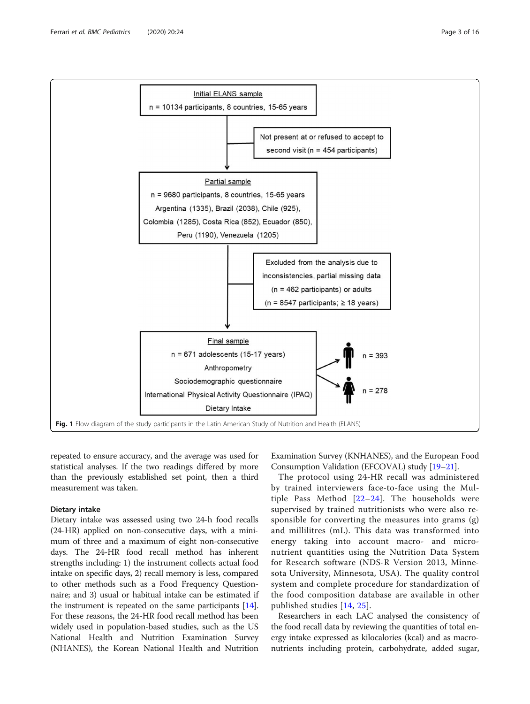<span id="page-2-0"></span>

repeated to ensure accuracy, and the average was used for statistical analyses. If the two readings differed by more than the previously established set point, then a third measurement was taken.

# Dietary intake

Dietary intake was assessed using two 24-h food recalls (24-HR) applied on non-consecutive days, with a minimum of three and a maximum of eight non-consecutive days. The 24-HR food recall method has inherent strengths including: 1) the instrument collects actual food intake on specific days, 2) recall memory is less, compared to other methods such as a Food Frequency Questionnaire; and 3) usual or habitual intake can be estimated if the instrument is repeated on the same participants [[14](#page-14-0)]. For these reasons, the 24-HR food recall method has been widely used in population-based studies, such as the US National Health and Nutrition Examination Survey (NHANES), the Korean National Health and Nutrition

Examination Survey (KNHANES), and the European Food Consumption Validation (EFCOVAL) study [[19](#page-14-0)–[21\]](#page-14-0).

The protocol using 24-HR recall was administered by trained interviewers face-to-face using the Multiple Pass Method [[22](#page-14-0)–[24\]](#page-15-0). The households were supervised by trained nutritionists who were also responsible for converting the measures into grams (g) and millilitres (mL). This data was transformed into energy taking into account macro- and micronutrient quantities using the Nutrition Data System for Research software (NDS-R Version 2013, Minnesota University, Minnesota, USA). The quality control system and complete procedure for standardization of the food composition database are available in other published studies [[14](#page-14-0), [25\]](#page-15-0).

Researchers in each LAC analysed the consistency of the food recall data by reviewing the quantities of total energy intake expressed as kilocalories (kcal) and as macronutrients including protein, carbohydrate, added sugar,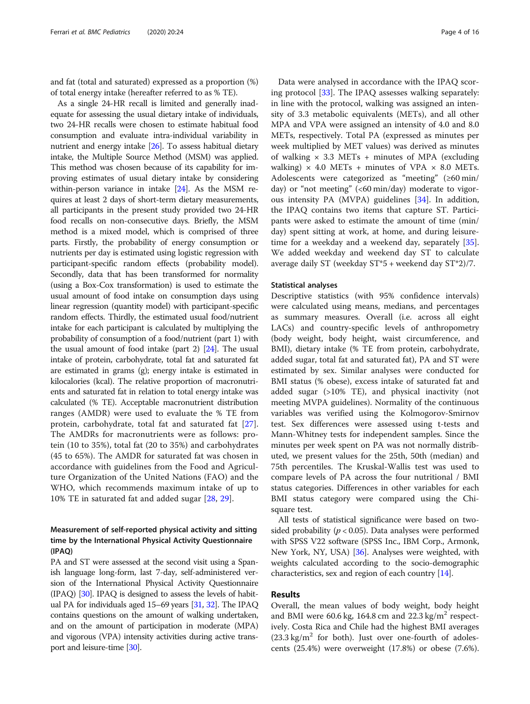and fat (total and saturated) expressed as a proportion (%) of total energy intake (hereafter referred to as % TE).

As a single 24-HR recall is limited and generally inadequate for assessing the usual dietary intake of individuals, two 24-HR recalls were chosen to estimate habitual food consumption and evaluate intra-individual variability in nutrient and energy intake [[26](#page-15-0)]. To assess habitual dietary intake, the Multiple Source Method (MSM) was applied. This method was chosen because of its capability for improving estimates of usual dietary intake by considering within-person variance in intake [\[24\]](#page-15-0). As the MSM requires at least 2 days of short-term dietary measurements, all participants in the present study provided two 24-HR food recalls on non-consecutive days. Briefly, the MSM method is a mixed model, which is comprised of three parts. Firstly, the probability of energy consumption or nutrients per day is estimated using logistic regression with participant-specific random effects (probability model). Secondly, data that has been transformed for normality (using a Box-Cox transformation) is used to estimate the usual amount of food intake on consumption days using linear regression (quantity model) with participant-specific random effects. Thirdly, the estimated usual food/nutrient intake for each participant is calculated by multiplying the probability of consumption of a food/nutrient (part 1) with the usual amount of food intake (part 2) [\[24\]](#page-15-0). The usual intake of protein, carbohydrate, total fat and saturated fat are estimated in grams (g); energy intake is estimated in kilocalories (kcal). The relative proportion of macronutrients and saturated fat in relation to total energy intake was calculated (% TE). Acceptable macronutrient distribution ranges (AMDR) were used to evaluate the % TE from protein, carbohydrate, total fat and saturated fat [\[27](#page-15-0)]. The AMDRs for macronutrients were as follows: protein (10 to 35%), total fat (20 to 35%) and carbohydrates (45 to 65%). The AMDR for saturated fat was chosen in accordance with guidelines from the Food and Agriculture Organization of the United Nations (FAO) and the WHO, which recommends maximum intake of up to 10% TE in saturated fat and added sugar [\[28](#page-15-0), [29\]](#page-15-0).

# Measurement of self-reported physical activity and sitting time by the International Physical Activity Questionnaire (IPAQ)

PA and ST were assessed at the second visit using a Spanish language long-form, last 7-day, self-administered version of the International Physical Activity Questionnaire (IPAQ) [\[30\]](#page-15-0). IPAQ is designed to assess the levels of habitual PA for individuals aged 15–69 years  $[31, 32]$  $[31, 32]$  $[31, 32]$  $[31, 32]$  $[31, 32]$ . The IPAQ contains questions on the amount of walking undertaken, and on the amount of participation in moderate (MPA) and vigorous (VPA) intensity activities during active transport and leisure-time [[30](#page-15-0)].

Data were analysed in accordance with the IPAQ scoring protocol [\[33](#page-15-0)]. The IPAQ assesses walking separately: in line with the protocol, walking was assigned an intensity of 3.3 metabolic equivalents (METs), and all other MPA and VPA were assigned an intensity of 4.0 and 8.0 METs, respectively. Total PA (expressed as minutes per week multiplied by MET values) was derived as minutes of walking  $\times$  3.3 METs + minutes of MPA (excluding walking)  $\times$  4.0 METs + minutes of VPA  $\times$  8.0 METs. Adolescents were categorized as "meeting" (≥60 min/ day) or "not meeting" (<60 min/day) moderate to vigorous intensity PA (MVPA) guidelines [\[34](#page-15-0)]. In addition, the IPAQ contains two items that capture ST. Participants were asked to estimate the amount of time (min/ day) spent sitting at work, at home, and during leisuretime for a weekday and a weekend day, separately [\[35](#page-15-0)]. We added weekday and weekend day ST to calculate average daily ST (weekday ST\*5 + weekend day ST\*2)/7.

#### Statistical analyses

Descriptive statistics (with 95% confidence intervals) were calculated using means, medians, and percentages as summary measures. Overall (i.e. across all eight LACs) and country-specific levels of anthropometry (body weight, body height, waist circumference, and BMI), dietary intake (% TE from protein, carbohydrate, added sugar, total fat and saturated fat), PA and ST were estimated by sex. Similar analyses were conducted for BMI status (% obese), excess intake of saturated fat and added sugar (>10% TE), and physical inactivity (not meeting MVPA guidelines). Normality of the continuous variables was verified using the Kolmogorov-Smirnov test. Sex differences were assessed using t-tests and Mann-Whitney tests for independent samples. Since the minutes per week spent on PA was not normally distributed, we present values for the 25th, 50th (median) and 75th percentiles. The Kruskal-Wallis test was used to compare levels of PA across the four nutritional / BMI status categories. Differences in other variables for each BMI status category were compared using the Chisquare test.

All tests of statistical significance were based on twosided probability ( $p < 0.05$ ). Data analyses were performed with SPSS V22 software (SPSS Inc., IBM Corp., Armonk, New York, NY, USA) [[36](#page-15-0)]. Analyses were weighted, with weights calculated according to the socio-demographic characteristics, sex and region of each country [[14](#page-14-0)].

# Results

Overall, the mean values of body weight, body height and BMI were 60.6 kg, 164.8 cm and  $22.3 \text{ kg/m}^2$  respectively. Costa Rica and Chile had the highest BMI averages  $(23.3 \text{ kg/m}^2)$  for both). Just over one-fourth of adolescents (25.4%) were overweight (17.8%) or obese (7.6%).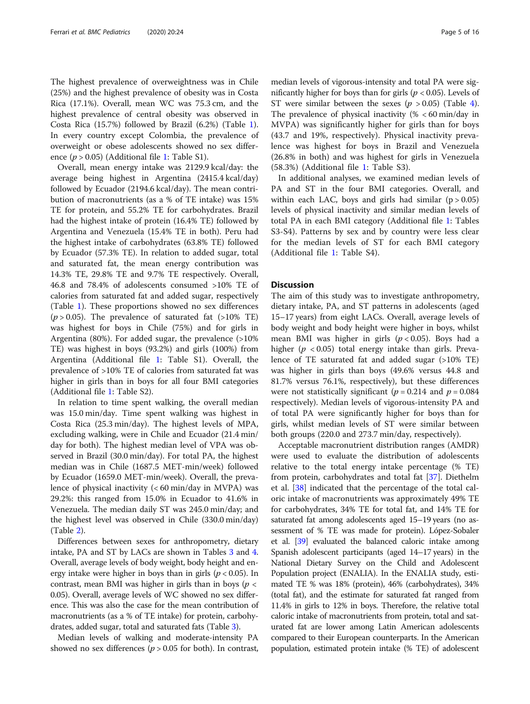The highest prevalence of overweightness was in Chile (25%) and the highest prevalence of obesity was in Costa Rica (17.1%). Overall, mean WC was 75.3 cm, and the highest prevalence of central obesity was observed in Costa Rica (15.7%) followed by Brazil (6.2%) (Table [1](#page-5-0)). In every country except Colombia, the prevalence of overweight or obese adolescents showed no sex difference  $(p > 0.05)$  (Additional file [1](#page-13-0): Table S1).

Overall, mean energy intake was 2129.9 kcal/day: the average being highest in Argentina (2415.4 kcal/day) followed by Ecuador (2194.6 kcal/day). The mean contribution of macronutrients (as a % of TE intake) was 15% TE for protein, and 55.2% TE for carbohydrates. Brazil had the highest intake of protein (16.4% TE) followed by Argentina and Venezuela (15.4% TE in both). Peru had the highest intake of carbohydrates (63.8% TE) followed by Ecuador (57.3% TE). In relation to added sugar, total and saturated fat, the mean energy contribution was 14.3% TE, 29.8% TE and 9.7% TE respectively. Overall, 46.8 and 78.4% of adolescents consumed >10% TE of calories from saturated fat and added sugar, respectively (Table [1\)](#page-5-0). These proportions showed no sex differences  $(p > 0.05)$ . The prevalence of saturated fat  $(>10\%$  TE) was highest for boys in Chile (75%) and for girls in Argentina (80%). For added sugar, the prevalence (>10% TE) was highest in boys (93.2%) and girls (100%) from Argentina (Additional file [1:](#page-13-0) Table S1). Overall, the prevalence of >10% TE of calories from saturated fat was higher in girls than in boys for all four BMI categories (Additional file [1](#page-13-0): Table S2).

In relation to time spent walking, the overall median was 15.0 min/day. Time spent walking was highest in Costa Rica (25.3 min/day). The highest levels of MPA, excluding walking, were in Chile and Ecuador (21.4 min/ day for both). The highest median level of VPA was observed in Brazil (30.0 min/day). For total PA, the highest median was in Chile (1687.5 MET-min/week) followed by Ecuador (1659.0 MET-min/week). Overall, the prevalence of physical inactivity  $(< 60 \text{ min/day}$  in MVPA) was 29.2%: this ranged from 15.0% in Ecuador to 41.6% in Venezuela. The median daily ST was 245.0 min/day; and the highest level was observed in Chile (330.0 min/day) (Table [2\)](#page-7-0).

Differences between sexes for anthropometry, dietary intake, PA and ST by LACs are shown in Tables [3](#page-8-0) and [4](#page-10-0). Overall, average levels of body weight, body height and energy intake were higher in boys than in girls ( $p < 0.05$ ). In contrast, mean BMI was higher in girls than in boys ( $p <$ 0.05). Overall, average levels of WC showed no sex difference. This was also the case for the mean contribution of macronutrients (as a % of TE intake) for protein, carbohydrates, added sugar, total and saturated fats (Table [3](#page-8-0)).

Median levels of walking and moderate-intensity PA showed no sex differences ( $p > 0.05$  for both). In contrast,

median levels of vigorous-intensity and total PA were significantly higher for boys than for girls ( $p < 0.05$ ). Levels of ST were similar between the sexes ( $p > 0.05$ ) (Table [4](#page-10-0)). The prevalence of physical inactivity  $% < 60$  min/day in MVPA) was significantly higher for girls than for boys (43.7 and 19%, respectively). Physical inactivity prevalence was highest for boys in Brazil and Venezuela (26.8% in both) and was highest for girls in Venezuela (58.3%) (Additional file [1](#page-13-0): Table S3).

In additional analyses, we examined median levels of PA and ST in the four BMI categories. Overall, and within each LAC, boys and girls had similar  $(p > 0.05)$ levels of physical inactivity and similar median levels of total PA in each BMI category (Additional file [1](#page-13-0): Tables S3-S4). Patterns by sex and by country were less clear for the median levels of ST for each BMI category (Additional file [1:](#page-13-0) Table S4).

# **Discussion**

The aim of this study was to investigate anthropometry, dietary intake, PA, and ST patterns in adolescents (aged 15–17 years) from eight LACs. Overall, average levels of body weight and body height were higher in boys, whilst mean BMI was higher in girls  $(p < 0.05)$ . Boys had a higher ( $p < 0.05$ ) total energy intake than girls. Prevalence of TE saturated fat and added sugar (>10% TE) was higher in girls than boys (49.6% versus 44.8 and 81.7% versus 76.1%, respectively), but these differences were not statistically significant ( $p = 0.214$  and  $p = 0.084$ respectively). Median levels of vigorous-intensity PA and of total PA were significantly higher for boys than for girls, whilst median levels of ST were similar between both groups (220.0 and 273.7 min/day, respectively).

Acceptable macronutrient distribution ranges (AMDR) were used to evaluate the distribution of adolescents relative to the total energy intake percentage (% TE) from protein, carbohydrates and total fat [\[37\]](#page-15-0). Diethelm et al. [[38\]](#page-15-0) indicated that the percentage of the total caloric intake of macronutrients was approximately 49% TE for carbohydrates, 34% TE for total fat, and 14% TE for saturated fat among adolescents aged 15–19 years (no assessment of % TE was made for protein). López-Sobaler et al. [\[39\]](#page-15-0) evaluated the balanced caloric intake among Spanish adolescent participants (aged 14–17 years) in the National Dietary Survey on the Child and Adolescent Population project (ENALIA). In the ENALIA study, estimated TE % was 18% (protein), 46% (carbohydrates), 34% (total fat), and the estimate for saturated fat ranged from 11.4% in girls to 12% in boys. Therefore, the relative total caloric intake of macronutrients from protein, total and saturated fat are lower among Latin American adolescents compared to their European counterparts. In the American population, estimated protein intake (% TE) of adolescent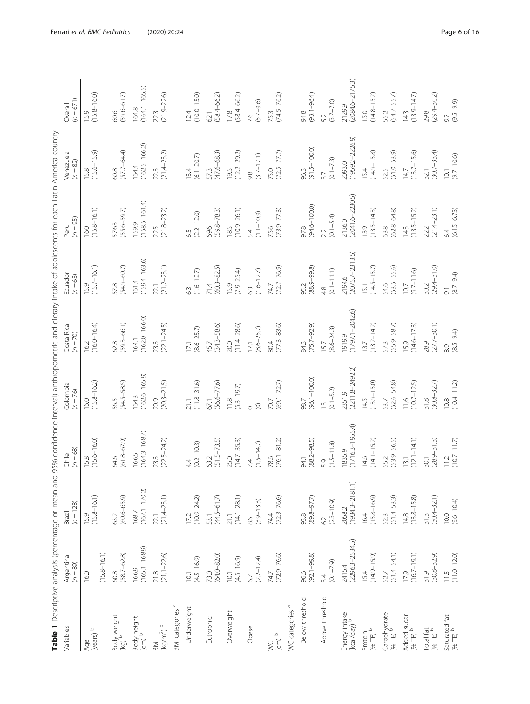<span id="page-5-0"></span>

| Table 1 Descriptive analysis (percentage or mean and                        |                                          |                                 | 95% confidence interval) anthropometric and dietary intake of adolescents for each Latin America country |                                |                            |                           |                           |                               |                              |
|-----------------------------------------------------------------------------|------------------------------------------|---------------------------------|----------------------------------------------------------------------------------------------------------|--------------------------------|----------------------------|---------------------------|---------------------------|-------------------------------|------------------------------|
| Variables                                                                   | Argentina<br>$(n = 89)$                  | $(n = 128)$<br>Brazil           | $(n = 68)$<br>Chile                                                                                      | Colombia<br>$(n = 76)$         | Costa Rica<br>$(n = 70)$   | Ecuador<br>$(n = 63)$     | $(n = 95)$<br>Peru        | Venezuela<br>$(n = 82)$       | $(n = 671)$<br>Overall       |
| Age<br>(years) b                                                            | $(15.8 - 16.1)$<br>16.0                  | $15.9$<br>(15.8–16.1)           | $(15.6 - 16.0)$<br>15.8                                                                                  | $(15.8 - 16.2)$<br>16.0        | $(16.0 - 16.4)$<br>16.2    | $(15.7 - 16.1)$<br>15.9   | $(15.8 - 16.1)$<br>16.0   | $(15.6 - 15.9)$<br>15.8       | $(15.8 - 16.0)$<br>15.9      |
| Body weight<br>(kg) <sup>b</sup>                                            | 60.8<br>(58.7–62.8)                      | 63.2<br>(60.6–65.9)             | $(61.8 - 67.9)$<br>64.6                                                                                  | $(54.5 - 58.5)$<br>565         | $(59.3 - 66.1)$<br>62.8    | $(54.9 - 60.7)$<br>57.8   | 57.63<br>(55.6–59.7)      | $(57.7 - 64.4)$<br>60.8       | 60.6<br>(59.6–61.7)          |
| $\begin{array}{c} \text{Body height} \\ \text{(cm)}^{\text{b}} \end{array}$ | 166.9<br>(165.1–168.9)                   | $\frac{168.7}{(167.1 - 170.2)}$ | $(164.3 - 168.7)$<br>166.5                                                                               | $(162.6 - 165.9)$<br>164.3     | $(162.0 - 166.0)$<br>164.1 | 161.4<br>(159.4–163.6)    | 159.9<br>(158.5–161.4)    | 164.4<br>(162.5-166.2)        | 164.8<br>(164.1–165.5)       |
| $\frac{1}{\log(m^2)}$ b<br>$\overline{\mathbb{R}}$                          | $21.8$<br>(21.1-22.6)                    | $22.1$<br>(21.4–23.1)           | $23.3$<br>(22.5 – 24.2)                                                                                  | $(20.3 - 21.5)$<br>20.9        | $23.3$<br>(22.1-24.5)      | $22.1$<br>(21.2–23.1)     | $22.5$<br>(21.8–23.2)     | $22.3$<br>(21.4–23.2)         | $22.3$<br>(21.9-22.6)        |
| BMI categories <sup>a</sup>                                                 |                                          |                                 |                                                                                                          |                                |                            |                           |                           |                               |                              |
| Underweight                                                                 | $10.1$<br>(4.5-16.9)                     | $17.2$<br>(10.9–24.2)           | $4.4$<br>(0.2-10.3)                                                                                      | $21.1$<br>(11.8–31.6)          | $(8.6 - 25.7)$<br>$17.1\,$ | $6.3$<br>(1.6–12.7)       | $6.5$<br>(2.2–12.0)       | $(6.1 - 20.7)$<br>13.4        | $12.4$<br>(10.0–15.0)        |
| Eutrophic                                                                   | 73.0<br>(64.0-82.0)                      | 53.1<br>(44.5–61.7)             | 63.2<br>(51.5-73.5)                                                                                      | 67.1<br>(56.6–77.6)            | 45.7<br>(34.3–58.6)        | $71.4$<br>(60.3-82.5)     | 69.6<br>(59.8–78.3)       | 57.3<br>(47.6–68.3)           | $(58.4 - 66.2)$<br>62.1      |
| Overweight                                                                  | $10.1$<br>(4.5–16.9)                     | $21.1$<br>(14.1-28.1)           | $25.0$<br>(14.7-35.3)                                                                                    | $\frac{11.8}{(5.3-19.7)}$      | $20.0$<br>(11.4-28.6)      | $15.9$<br>$(7.9-25.4)$    | $18.5$<br>(10.9–26.1)     | $19.5$<br>(12.2–29.2)         | $\frac{17.8}{(58.4 - 66.2)}$ |
| Obese                                                                       |                                          | $\frac{8.6}{(3.9 - 13.3)}$      | $7.4$<br>(1.5–14.7)                                                                                      | $\odot$                        | $17.1$<br>(8.6–25.7)       | $6.3$<br>(1.6-12.7)       | $(1.1 - 10.9)$<br>54      | $\frac{9.8}{(3.7-17.1)}$      | $7.6$<br>(5.7–9.6)           |
| $\frac{1}{2}$                                                               | 6.7<br>(2.2-12.4)<br>74.7<br>(72.9-76.6) | 74.4<br>(72.3–76.6)             | 78.6<br>(76.1–81.2)                                                                                      | $(69.1 - 72.7)$<br>70.7        | 80.4<br>(77.3-83.6)        | 74.7<br>(72.7–76.9)       | 75.6<br>(73.9–77.3)       | 75.0<br>$(72.5 - 77.7)$       | 75.3<br>(74.5–76.2)          |
| WC categories <sup>a</sup>                                                  |                                          |                                 |                                                                                                          |                                |                            |                           |                           |                               |                              |
| Below threshold                                                             | 96.6<br>(92.1–99.8)                      | 93.8<br>(89.8–97.7)             | 94.1<br>(88.2–98.5)                                                                                      | $(96.1 - 100.0)$<br>98.7       | $(75.7 - 92.9)$<br>84.3    | $(88.9 - 99.8)$<br>95.2   | 97.8<br>(94.6-100.0)      | 96.3<br>(91.5-100.0)          | $(93.1 - 96.4)$<br>94.8      |
| Above threshold                                                             | $3.4$<br>(0.1-7.9)                       | $6.2$<br>$(2.3-10.9)$           | $\frac{5.9}{(1.5-11.8)}$                                                                                 | $(0.1 - 5.2)$<br>$\frac{1}{2}$ | $(8.6 - 24.3)$<br>15.7     | $(0.1 - 11.1)$<br>4.8     | $2.2$<br>(0.1-5.4)        | $(0.1 - 7.3)$                 | $(3.7 - 7.0)$<br>5.2         |
| Energy intake<br>(kcal/day) <sup>b</sup>                                    | 2415.4<br>(2296.3-2534.5)                | 2058.2<br>(1934.3-2181.1)       | 1835.9<br>(1716.3-1955.4)                                                                                | 2351.9<br>(2211.8-2492.2)      | 1919.9<br>(1797.1–2042.6)  | 2194.6<br>(2075.7-2313.5) | 2136.0<br>(2041.6-2230.5) | $(1959.2 - 2226.9)$<br>2093.0 | 2129.9<br>(2084.6-2175.3)    |
| Protein<br>(% TE) <sup>b</sup>                                              | $15.4$<br>(14.9–15.9)                    | $16.4$<br>$(15.8 - 16.9)$       | $(14.1 - 15.2)$<br>14.6                                                                                  | $(13.9 - 15.0)$<br>14.5        | $(13.2 - 14.2)$<br>13.7    | $15.1$<br>(14.5–15.7)     | $13.9$<br>(13.5–14.3)     | $15.4$<br>(14.9–15.8)         | $(14.8 - 15.2)$<br>15.0      |
| Carbohydrate<br>(% TE) <sup>b</sup>                                         | $52.7$<br>(51.4–54.1)                    | $(51.4 - 53.3)$<br>52.3         | $(53.9 - 56.5)$<br>55.2                                                                                  | $(52.6 - 54.8)$<br>53.7        | $(55.9 - 58.7)$<br>57.3    | $(53.5 - 55.6)$<br>54.6   | 63.8<br>(62.8–64.8)       | 52.5<br>(51.0–53.9)           | $(54.7 - 55.7)$<br>55.2      |
| Added sugar<br>(% TE) <sup>b</sup>                                          | $17.9$<br>(16.7–19.1)                    | $14.8$<br>(13.8–15.8)           | $(12.1 - 14.1)$<br>13.1                                                                                  | $(10.7 - 12.5)$<br>11.6        | $(14.6 - 17.3)$<br>15.9    | $(9.7 - 11.6)$<br>10.7    | $(13.5 - 15.2)$<br>14.3   | $(13.7 - 15.6)$<br>14.7       | $(13.9 - 14.7)$<br>14.3      |
| Total fat<br>(% TE) <sup>b</sup>                                            | $31.9$<br>$(30.8-32.9)$                  | $31.3$<br>$(30.4-32.1)$         | $(28.9 - 31.3)$<br>30.1                                                                                  | $(30.8 - 32.7)$<br>31.8        | $(27.7 - 30.1)$<br>28.9    | $(29.4 - 31.0)$<br>30.2   | $(21.4 - 23.1)$<br>22.2   | $(30.7 - 33.4)$<br>32.1       | $(29.4 - 30.2)$<br>29.8      |
| Saturated fat<br>(% TE) <sup>b</sup>                                        | $11.5$<br>(11.0-12.0)                    | $(9.6 - 10.4)$                  | $\frac{11.2}{(10.7 - 11.7)}$                                                                             | $\frac{10.8}{(10.4 - 11.2)}$   | $8.9$<br>$(8.5 - 9.4)$     | $9.1$<br>(8.7–9.4)        | 6.4<br>(6.15–6.73)        | $\frac{10.1}{(9.7-10.6)}$     | $9.7$<br>(9.5–9.9)           |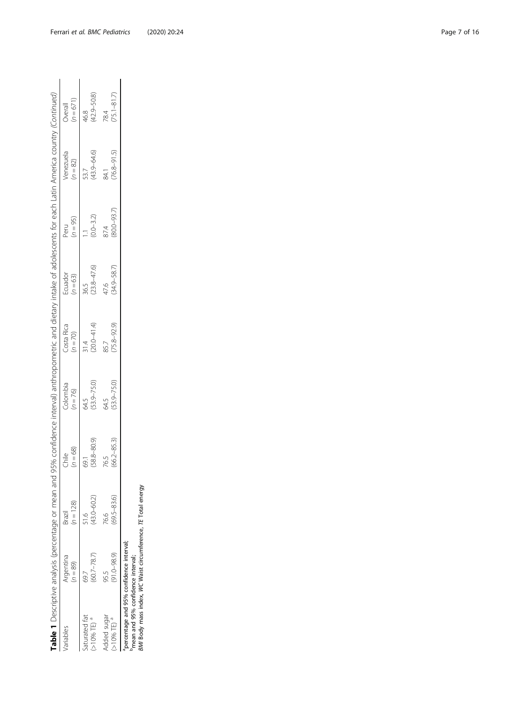|                                        | Table 1 Descriptive analysis (percentage or mean and |                        |                                    |                        |                                |                       | 95% confidence interval) anthropometric and dietary intake of adolescents for each Latin America country (Continued) |                       |                             |
|----------------------------------------|------------------------------------------------------|------------------------|------------------------------------|------------------------|--------------------------------|-----------------------|----------------------------------------------------------------------------------------------------------------------|-----------------------|-----------------------------|
| lariables                              | Argentina<br>$(n = 89)$                              | $(n = 128)$<br>Brazil  | $(n = 68)$<br>$\frac{1}{\sqrt{2}}$ | Colombia<br>(n = 76)   | Costa Rica<br>$(n = 70)$       | Ecuador<br>$(n = 63)$ | $(56 = n)$<br>Peru                                                                                                   | Venezuela<br>$n = 82$ | $n = 671$<br><b>Dverall</b> |
| aturated fat<br>$-10%$ TE)             | $(60.7 - 78.7)$                                      | $(43.0 - 60.2)$        | 58.8-80.9)                         | $(53.9 - 75.0)$<br>545 | $(4.14-0.02)$<br>$\frac{4}{1}$ | $23.8 - 47.6$<br>86.5 | $(0.0 - 3.2)$                                                                                                        | 43.9-64.6)<br>53.7    | 42.9-50.8)<br>89.           |
| Added sugar<br>$>10%$ TE) <sup>a</sup> | $(91.0 - 98.9)$<br>55<br>95                          | $(69.5 - 83.6)$<br>292 | $66.2 - 85.3$                      | 53.9-75.0)<br>64.5     | 75.8-92.9)                     | 34.9-58.7)            | $(80.0 - 93.7)$<br>37.4                                                                                              | $76.8 - 91.5$<br>84.1 | $(75.1 - 81.7)$<br>84       |
|                                        | . <br>  contact and contact intervals intervals      |                        |                                    |                        |                                |                       |                                                                                                                      |                       |                             |

apercentage and 95% confidence interval; bmean and 95% confidence interval;

<sup>a</sup>percentage and 95% confidence interval;<br><sup>b</sup>mean and 95% confidence interval;<br>*BMI* Body mass index, *WC* Waist circumference, *TE* Total energy BMI Body mass index, WC Waist circumference, TE Total energy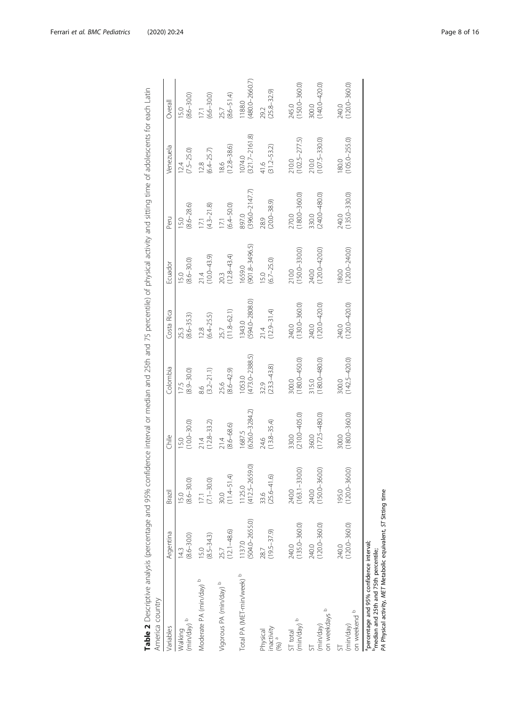| Table 2 Descriptive analysis (percentage and 95% confidence interval or median and 25th and 75 percentile) of physical activity and sitting time of adolescents for each Latin |                              |                                             |                              |                              |                              |                                  |                                     |                              |                              |
|--------------------------------------------------------------------------------------------------------------------------------------------------------------------------------|------------------------------|---------------------------------------------|------------------------------|------------------------------|------------------------------|----------------------------------|-------------------------------------|------------------------------|------------------------------|
| America country                                                                                                                                                                |                              |                                             |                              |                              |                              |                                  |                                     |                              |                              |
| Variables                                                                                                                                                                      | Argentina                    | Brazil                                      | Chile                        | Colombia                     | Costa Rica                   | Ecuador                          | Peru                                | Venezuela                    | Overall                      |
| $d$ (min/day) $b$<br>Walking                                                                                                                                                   | $(8.6 - 30.0)$<br>143        | $(8.6 - 30.0)$<br>15.0                      | $(10.0 - 30.0)$<br>15.0      | $(8.9 - 30.0)$<br>17.5       | $(8.6 - 35.3)$<br>25.3       | $(8.6 - 30.0)$<br>$\frac{0}{20}$ | $(8.6 - 28.6)$<br>$\overline{5.0}$  | $(7.5 - 25.0)$<br>124        | $(8.6 - 30.0)$<br>15.0       |
| Moderate PA (min/day) b                                                                                                                                                        | $(8.5 - 34.3)$<br>15.0       | $(7.1 - 30.0)$<br>17.1                      | $(12.8 - 33.2)$<br>21.4      | $(3.2 - 21.1)$<br>86         | $(6.4 - 25.5)$<br>12.8       | $(10.0 - 43.9)$<br>21.4          | $(4.3 - 21.8)$<br>$\overline{2}$    | $(6.4 - 25.7)$<br>12.8       | $(6.6 - 30.0)$<br>17.1       |
| Vigorous PA (min/day) b                                                                                                                                                        | $12.1 - 48.6$<br>25.7        | $(11.4 - 51.4)$<br>30.0                     | $(8.6 - 68.6)$<br>21.4       | $(8.6 - 42.9)$<br>25.6       | $(11.8 - 62.1)$<br>25.7      | $(12.8 - 43.4)$<br>20.3          | $(6.4 - 50.0)$<br>$\overline{17.1}$ | $(12.8 - 38.6)$<br>186       | $(8.6 - 51.4)$<br>25.7       |
| Total PA (MET-min/week) b                                                                                                                                                      | $(504.0 - 2655.0)$<br>1137.0 | $(412.5 - 2659.0)$<br>1125.0                | $(626.0 - 3284.2)$<br>1687.5 | $(473.0 - 2388.5)$<br>1053.0 | $(594.0 - 2808.0)$<br>1343.0 | $(901.8 - 3496.5)$<br>1659.0     | $(396.0 - 2147.7)$<br>897.0         | $(321.7 - 2161.8)$<br>1074.0 | $(480.0 - 2660.7)$<br>1188.0 |
| inactivity<br>Physical<br>$(96)$ <sup>a</sup>                                                                                                                                  | $(19.5 - 37.9)$<br>28.7      | $(25.6 - 41.6)$<br>33.6                     | $(13.8 - 35.4)$<br>24.6      | $(23.3 - 43.8)$<br>32.9      | $(12.9 - 31.4)$<br>21.4      | $(6.7 - 25.0)$<br>15.0           | $(20.0 - 38.9)$<br>28.9             | $(31.2 - 53.2)$<br>41.6      | $(25.8 - 32.9)$<br>29.2      |
| d (vep/uin)<br>ST total                                                                                                                                                        | $(135.0 - 360.0)$<br>240.0   | $(163.1 - 330.0)$<br>240.0                  | $(210.0 - 405.0)$<br>330.0   | $(180.0 - 450.0)$<br>300.0   | $(130.0 - 360.0)$<br>240.0   | $(150.0 - 330.0)$<br>210.0       | $(180.0 - 360.0)$<br>270.0          | $(102.5 - 277.5)$<br>210.0   | $(150.0 - 360.0)$<br>245.0   |
| on weekdays b<br>(min/day)                                                                                                                                                     | $(120.0 - 360.0)$<br>240.0   | $\sum_{i=1}^{n}$<br>$(150.0 - 360$<br>240.0 | $(172.5 - 480.0)$<br>360.0   | $(180.0 - 480.0)$<br>315.0   | $(120.0 - 420.0)$<br>240.0   | $(120.0 - 420.0)$<br>240.0       | $(240.0 - 480.0)$<br>330.0          | $(107.5 - 330.0)$<br>210.0   | $(140.0 - 420.0)$<br>300.0   |
| Ω<br>on weekend<br>(min/day)                                                                                                                                                   | $(120.0 - 360.0)$<br>240.0   | $(120.0 - 360.0)$<br>195.0                  | $(180.0 - 360.0)$<br>300.0   | $(142.5 - 420.0)$<br>300.0   | $(120.0 - 420.0)$<br>240.0   | $(120.0 - 240.0)$<br>180.0       | $(135.0 - 330.0)$<br>240.0          | $(105.0 - 255.0)$<br>180.0   | $(120.0 - 360.0)$<br>240.0   |
| <sup>a</sup> percentage and 95% confidence interval:                                                                                                                           |                              |                                             |                              |                              |                              |                                  |                                     |                              |                              |

| ç<br>j<br>ī<br>$\frac{1}{2}$<br>i                                                                           |                  |
|-------------------------------------------------------------------------------------------------------------|------------------|
| $\overline{\phantom{a}}$<br>5<br>Ç<br>l<br>۱<br>j                                                           |                  |
| ֦֧<br>Ĭ.<br>¢<br>ׇ֚֘֝֬                                                                                      |                  |
| ・・・・・<br>֖֖֖֖֖֖֧ׅ֖֪֪֪ׅ֖֧֧֪֪֪֪֪֪֪֪֪֪֪֪֪֪֪֪֪֪֪֪֪֪֪֪֪֪֪֪֪֪֪֪֪֚֚֚֚֚֚֚֚֚֚֚֚֚֚֚֚֚֚֚֚֚֚֚֚֬֝֓֝֓֞֝֓֞֝<br>i<br>l<br>j |                  |
| í<br>$\frac{1}{2}$<br>1<br>J<br>١                                                                           |                  |
| Ī<br>d                                                                                                      |                  |
| ;<br>ہ                                                                                                      |                  |
| $\frac{2}{1}$<br>Ĺ,<br>ة<br>و<br>١                                                                          |                  |
| $\frac{1}{2}$<br>Ì                                                                                          |                  |
| j<br>S<br>S                                                                                                 |                  |
| $\ddot{\phantom{0}}$<br>:<br>$\overline{\phantom{a}}$                                                       |                  |
| i<br>it<br>i<br>j                                                                                           |                  |
| i<br>֕                                                                                                      |                  |
| ļ<br>Ç                                                                                                      |                  |
| It parametion at r<br>$\overline{ }$<br>j<br>Ì                                                              |                  |
| ֧ׅ֪֚֞֝֝֬֝֬֝<br>j<br>J                                                                                       |                  |
| J                                                                                                           |                  |
| $\overline{1}$<br>Ì<br>J<br>֖֖֖֖֖֧ׅ֪ׅ֖֧֧ׅ֚֚֚֚֚֚֚֚֚֚֚֚֚֚֚֚֚֚֚֚֚֚֚֚֬֝֝֓֞֝֬֓֡֬                                 |                  |
| Ç<br>r<br>S<br>Ï                                                                                            |                  |
| i<br>ì<br>$\frac{1}{2}$                                                                                     |                  |
| i<br>5<br>์<br>}<br>l                                                                                       |                  |
| 5<br>$\mathfrak{c}$<br>i<br>5                                                                               |                  |
| てくらい                                                                                                        |                  |
| $\ddot{\phantom{a}}$<br>j<br>֦֧֦֧֦֧֦֧֦֧֦֧֦֧ׅ֧֦֧ׅ֧֦֧ׅ֧֦֧ׅ֧֦֧֧֛֚֝֝֜֓֜֓֜֓֜֓֜֜<br>١<br>$\overline{ }$           |                  |
| リリノーリン                                                                                                      |                  |
| anca Inta:                                                                                                  |                  |
| j<br>5<br>ī<br>$\frac{2}{1}$<br>S                                                                           |                  |
| i<br>3                                                                                                      |                  |
| I                                                                                                           |                  |
| Ċ<br>l                                                                                                      |                  |
| ζ<br>l<br>Ì<br>į<br>5                                                                                       |                  |
| :<br>ג<br>j<br>j<br>Ì<br>j                                                                                  |                  |
| ļ<br>J<br>ı<br>١                                                                                            |                  |
| $\mathbf{I}$<br>5<br>j<br>i<br>ś<br>Ç                                                                       |                  |
| d<br>5<br>$\overline{\phantom{a}}$<br>J                                                                     |                  |
| i                                                                                                           | l                |
| j<br>í<br>İ<br>l<br>j<br>l                                                                                  | i<br>ţ           |
| İ<br>$\overline{\phantom{a}}$<br>Ì                                                                          | ţ<br>ī           |
| ā<br>1<br>$\overline{\mathbf{r}}$                                                                           | Ó<br>1<br>ļ<br>1 |

apercentage and 95% confidence interval; bmedian and 25th and 75th percentile; PA Physical activity, MET Metabolic equivalent, ST Sitting time

<span id="page-7-0"></span>Ferrari et al. BMC Pediatrics (2020) 20:24 Page 8 of 16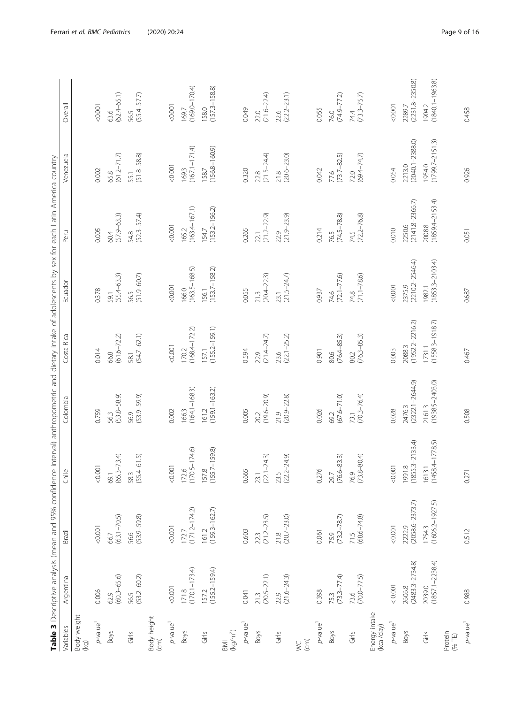<span id="page-8-0"></span>

|                                                 |                               | Table 3 Descriptive analysis (mean and 95% confidence interval) anthropometric and dietary intake of adolescents by sex for each Latin America country |                           |                               |                               |                               |                               |                               |                               |
|-------------------------------------------------|-------------------------------|--------------------------------------------------------------------------------------------------------------------------------------------------------|---------------------------|-------------------------------|-------------------------------|-------------------------------|-------------------------------|-------------------------------|-------------------------------|
| <b>Jariables</b>                                | Argentina                     | Brazil                                                                                                                                                 | Chile                     | Colombia                      | Costa Rica                    | Ecuador                       | Peru                          | Venezuela                     | Overall                       |
| Body weight<br>(kg)                             |                               |                                                                                                                                                        |                           |                               |                               |                               |                               |                               |                               |
| $p$ -value <sup>1</sup>                         | 0.006                         | 0.001                                                                                                                                                  | 0.001                     | 0.759                         | 0.014                         | 0.378                         | 0.005                         | 0.002                         | 0.001                         |
| <b>Boys</b>                                     | $(60.3 - 65.6)$<br>62.9       | $(63.1 - 70.5)$<br>66.7                                                                                                                                | 69.1<br>(65.3–73.4)       | $(53.8 - 58.9)$<br>56.3       | $(61.6 - 72.2)$<br>66.8       | $(55.4 - 63.3)$<br>59.1       | $(57.9 - 63.3)$<br>60.4       | $(61.2 - 71.7)$<br>65.8       | $(62.4 - 65.1)$<br>63.6       |
| Girls                                           | $(53.2 - 60.2)$<br>56.5       | $(53.9 - 59.8)$<br>56.6                                                                                                                                | 58.3<br>(55.4–61.5)       | $(53.9 - 59.9)$<br>56.9       | $(54.7 - 62.1)$<br>58.1       | $(51.9 - 60.7)$<br>56.5       | $(52.3 - 57.4)$<br>54.8       | $(51.8 - 58.8)$<br>55.1       | $(55.4 - 57.7)$<br>56.5       |
| Body height<br>(cm)                             |                               |                                                                                                                                                        |                           |                               |                               |                               |                               |                               |                               |
| $p$ -value <sup>1</sup>                         | 0000                          | 0.001                                                                                                                                                  | 0.001                     | 0.002                         | 0.001                         | 0.001                         | 0.001                         | 0.001                         | 0000                          |
| Boys                                            | $(170.1 - 173.4)$<br>$171.8$  | $(171.2 - 174.2)$<br>172.7                                                                                                                             | $172.6$<br>(170.5-174.6)  | $(164.1 - 168.3)$<br>166.3    | $(168.4 - 172.2)$<br>170.2    | $(163.5 - 168.5)$<br>166.0    | $(163.4 - 167.1)$<br>165.2    | $(167.1 - 171.4)$<br>169.3    | $(169.0 - 170.4)$<br>1697     |
| Girls                                           | 157.2<br>(155.2–159.4)        | $161.2$<br>(159.3-162.7)                                                                                                                               | 157.8<br>(155.7-159.8)    | $(159.1 - 163.2)$<br>1612     | $(155.2 - 159.1)$<br>157.1    | 156.1<br>(153.7-158.2)        | $(153.2 - 156.2)$<br>154.7    | 158.7<br>(156.8-160.9)        | 158.0<br>(157.3-158.8)        |
| (kg/m <sup>2</sup> )<br>$\overline{\mathbb{R}}$ |                               |                                                                                                                                                        |                           |                               |                               |                               |                               |                               |                               |
| $p$ -value <sup>1</sup>                         | 0.041                         | 0.603                                                                                                                                                  | 0.665                     | 0.005                         | 0.594                         | 0.055                         | 0.265                         | 0.320                         | 0.049                         |
| Boys                                            | $21.3$<br>(20.5-22.1)         | $(21.2 - 23.5)$<br>223                                                                                                                                 | $23.1$<br>(22.1 – 24.3)   | $(19.6 - 20.9)$<br>20.2       | $(21.4 - 24.7)$<br>22.9       | $(20.4 - 22.3)$<br>21.3       | $(21.2 - 22.9)$<br>22.1       | $(21.5 - 24.4)$<br>22.8       | $(21.6 - 22.4)$<br>22.0       |
| Girls                                           | $22.9$<br>(21.6–24.3)         | $\frac{21.8}{(20.7-23.0)}$                                                                                                                             | 23.5<br>(22.2–24.9)       | $21.9$<br>$(20.9-22.8)$       | $23.6$<br>$(22.1 - 25.2)$     | $23.1$<br>(21.5-24.7)         | $(21.9 - 23.9)$<br>22.9       | $(20.6 - 23.0)$<br>21.8       | $(22.2 - 23.1)$<br>22.6       |
| $rac{C}{2C}$                                    |                               |                                                                                                                                                        |                           |                               |                               |                               |                               |                               |                               |
| $p$ -value <sup>1</sup>                         | 0.398                         | 0.061                                                                                                                                                  | 0.276                     | 0.026                         | 0.901                         | 0.937                         | 0.214                         | 0.042                         | 0.055                         |
| <b>Boys</b>                                     | $(73.3 - 77.4)$<br>75.3       | $(73.2 - 78.7)$<br>75.9                                                                                                                                | 29.7<br>(76.6–83.3)       | $(67.6 - 71.0)$<br>69.2       | $(76.4 - 85.3)$<br>80.6       | $(72.1 - 77.6)$<br>74,6       | $(74.5 - 78.8)$<br>765        | $(73.7 - 82.5)$<br>77.6       | $(74.9 - 77.2)$<br>76.0       |
| Girls                                           | 73.6<br>(70.0–77.5)           | $71.5$<br>(68.6-74.8)                                                                                                                                  | 76.9<br>(73.8–80.4)       | $(70.3 - 76.4)$<br>73.1       | $(76.3 - 85.3)$<br>80.2       | $(71.1 - 78.6)$<br>74.8       | $(72.2 - 76.8)$<br>745        | $(69.4 - 74.7)$<br>72.0       | $(73.3 - 75.7)$<br>74.4       |
| Energy intake<br>(kcal/day)                     |                               |                                                                                                                                                        |                           |                               |                               |                               |                               |                               |                               |
| $p$ -value <sup>1</sup>                         | 0.001                         | 0.001                                                                                                                                                  | 0.001                     | 0.028                         | 0.003                         | 0.001                         | 0.010                         | 0.054                         | 0.001                         |
| Boys                                            | $(2483.3 - 2734.8)$<br>2606.8 | $(2058.6 - 2373.7)$<br>2222.9                                                                                                                          | 1991.8<br>(1855.3–2133.4) | $(2322.1 - 2644.9)$<br>2476.3 | $(1952.2 - 2216.2)$<br>2088.3 | $(2210.2 - 2546.4)$<br>2375.9 | $(2141.8 - 2366.7)$<br>2250.6 | $(2040.1 - 2388.0)$<br>2213.0 | $(2231.8 - 2350.8)$<br>2289.7 |
| Girls                                           | $(1857.1 - 2238.4)$<br>2039.0 | 1754.3<br>(1606.2-1927.5)                                                                                                                              | 1613.1<br>(1458.4–1778.5) | 2161.3<br>(1938.5-2403.0)     | 1731.1<br>(1558.3-1918.7)     | $(1853.3 - 2103.4)$<br>1982.1 | $(1859.4 - 2153.4)$<br>2008.8 | $(1799.7 - 2151.3)$<br>1954.0 | $(1840.1 - 1963.8)$<br>1904.2 |
| Protein<br>(% TE)                               |                               |                                                                                                                                                        |                           |                               |                               |                               |                               |                               |                               |
| $p$ -value <sup>1</sup>                         | 0.988                         | 0.512                                                                                                                                                  | 0.271                     | 0.508                         | 0.467                         | 0.687                         | 0.051                         | 0.926                         | 0.458                         |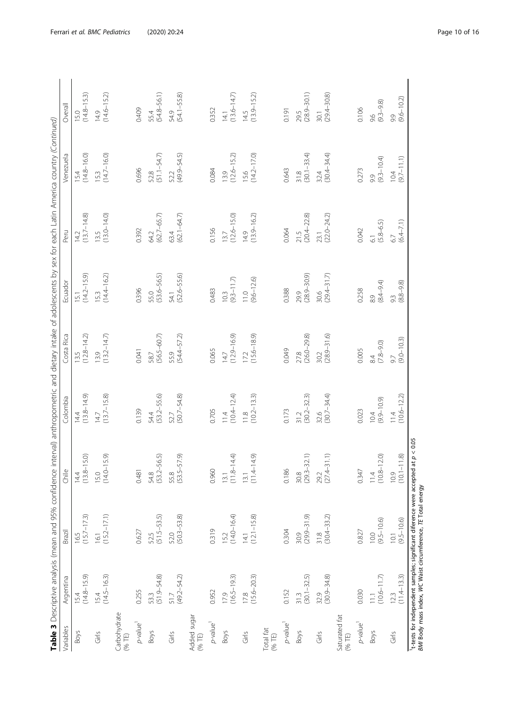| Variables               | Argentina                       | Brazil                                                                                                                                            | Table 3 Descriptive analysis (mean and 95% confidence interval) anthropometric and dietary intake of adolescents by sex for each Latin America country (Continued)<br>$\frac{1}{2}$ | Colombia                     | Costa Rica              | Ecuador                     | Peru                    | Venezuela                                    | Overall                |
|-------------------------|---------------------------------|---------------------------------------------------------------------------------------------------------------------------------------------------|-------------------------------------------------------------------------------------------------------------------------------------------------------------------------------------|------------------------------|-------------------------|-----------------------------|-------------------------|----------------------------------------------|------------------------|
| <b>Boys</b>             | $(14.8 - 15.9)$<br>15.4         | $(15.7 - 17.3)$<br>165                                                                                                                            | $14.4$<br>(13.8–15.0)                                                                                                                                                               | $14.4$<br>(13.8–14.9)        | $13.5$<br>(12.8–14.2)   | $15.1$<br>(14.2–15.9)       | $14.2$<br>(13.7–14.8)   |                                              | $15.0$<br>(14.8-15.3)  |
| Girls                   | $15.4$<br>(14.5-16.3)           | $15.2 - 17.1$<br>16.1                                                                                                                             | $15.0$<br>(14.0–15.9)                                                                                                                                                               | $14.7$<br>(13.7–15.8)        | $13.9$<br>(13.2–14.7)   | $15.3$<br>(14.4–16.2)       | $13.5$<br>(13.0–14.0)   | $15.4$<br>(14.8–16.0)<br>15.3<br>(14.7–16.0) | $14.9$<br>(14.6–15.2)  |
| Carbohydrate<br>(%TE)   |                                 |                                                                                                                                                   |                                                                                                                                                                                     |                              |                         |                             |                         |                                              |                        |
| $p$ -value <sup>1</sup> | 0.255                           | 0.627                                                                                                                                             | 0.481                                                                                                                                                                               | 0.139                        | 0.041                   | 0.396                       | 0.392                   | 0.696                                        | 0.409                  |
| <b>Boys</b>             | $(51.9 - 54.8)$<br>53.3         | $(51.5 - 53.5)$<br>52.5                                                                                                                           | 54.8<br>(53.2–56.5)                                                                                                                                                                 | 54.4<br>(53.2–55.6)          | 58.7<br>(56.5–60.7)     | 55.0<br>(53.6–56.5)         | 64.2<br>(62.7–65.7)     | 52.8<br>(51.1–54.7)                          | 55.4<br>(54.8–56.1)    |
| Girls                   | $(49.2 - 54.2)$<br>51.7         | $(50.3 - 53.8)$<br>52.0                                                                                                                           | 55.8<br>(53.5–57.9)                                                                                                                                                                 | 52.7<br>(50.7–54.8)          | 55.9<br>(54.4–57.2)     | 54.1<br>(52.6–55.6)         | 63.4<br>(62.1-64.7)     | 52.2<br>(49.9–54.5)                          | 54.9<br>(54.1–55.8)    |
| Added sugar<br>(% TE)   |                                 |                                                                                                                                                   |                                                                                                                                                                                     |                              |                         |                             |                         |                                              |                        |
| $p$ -value <sup>1</sup> | 0.952                           | 0.319                                                                                                                                             | 0.960                                                                                                                                                                               | 0.705                        | 0.065                   | 0.483                       | 0.156                   | 0.084                                        | 0.352                  |
| <b>Boys</b>             | $17.9$<br>(16.5-19.3)           | $(14.0 - 16.4)$<br><b>152</b>                                                                                                                     | $(11.8 - 14.4)$<br>13.1                                                                                                                                                             | $11.4$<br>(10.4–12.4)        | $14.7$<br>(12.9–16.9)   | $10.3$<br>(9.3–11.7)        | $13.7$<br>(12.6-15.0)   |                                              | $14.1$<br>(13.6–14.7)  |
| Girls                   | $(15.6 - 20.3)$<br>17.8         | $12.1 - 15.8$<br>$\frac{4}{1}$                                                                                                                    | $(11.4 - 14.9)$<br>$\overline{13}$ .                                                                                                                                                | $\frac{11.8}{(10.2 - 13.3)}$ | $17.2$<br>(15.6–18.9)   | $\frac{11.0}{(9.6 - 12.6)}$ | $14.9$<br>(13.9–16.2)   | 13.9<br>(12.6–15.2)<br>15.6<br>(14.2–17.0)   | $14.5$<br>(13.9–15.2)  |
| Total fat<br>(%TE)      |                                 |                                                                                                                                                   |                                                                                                                                                                                     |                              |                         |                             |                         |                                              |                        |
| $p$ -value <sup>1</sup> | 0.152                           | 0.304                                                                                                                                             | 0.186                                                                                                                                                                               | 0.173                        | 0.049                   | 0.388                       | 0.064                   | 0.643                                        | 0.191                  |
| <b>Boys</b>             | $(30.1 - 32.5)$<br>31.3         | $(29.9 - 31.9)$<br>30.9                                                                                                                           |                                                                                                                                                                                     | $31.2$<br>(30.2–32.3)        | 27.8<br>(26.0–29.8)     | 29.9<br>(28.9–30.9)         | $21.5$<br>(20.4–22.8)   | $31.8$<br>(30.1-33.4)                        | 29.5<br>(28.9–30.1)    |
| Girls                   | $(30.9 - 34.8)$<br>32.9         | $31.8$<br>$(30.4-33.2)$                                                                                                                           | 30.8<br>(29.3–32.1)<br>29.2<br>(27.4–31.1)                                                                                                                                          | $32.6$<br>(30.7-34.4)        | $30.2$<br>(28.9–31.6)   | $30.6$<br>(29.4–31.7)       | $23.1$<br>$(22.0-24.2)$ | $32.4$<br>(30.4–34.4)                        | $30.1$<br>(29.4–30.8)  |
| Saturated fat<br>(%TE)  |                                 |                                                                                                                                                   |                                                                                                                                                                                     |                              |                         |                             |                         |                                              |                        |
| $p$ -value <sup>1</sup> | 0.030                           | 0.827                                                                                                                                             | 0.347                                                                                                                                                                               | 0.023                        | 0.005                   | 0.258                       | 0.042                   | 0.273                                        | 0.106                  |
| <b>Boys</b>             | $(106 - 11.7)$<br>$\frac{1}{2}$ | $\frac{10.0}{(9.5 - 10.6)}$                                                                                                                       | $\frac{11.4}{(10.8-12.0)}$                                                                                                                                                          | $10.4$<br>(9.9–10.9)         | $\frac{8.4}{(7.8-9.0)}$ | $8.9$<br>$(8.4 - 9.4)$      | $6.1$<br>(5.8–6.5)      | $9.9$<br>$(9.3 - 10.4)$                      | $9.6$<br>$(9.3 - 9.8)$ |
| Girls                   | $(114 - 13.3)$<br>12.3          | $(9.5 - 10.6)$<br>101                                                                                                                             | $(10.1 - 11.8)$<br>10.9                                                                                                                                                             | $\frac{11.4}{(10.6 - 12.2)}$ | $(9.0 - 10.3)$<br>9.7   | $9.3$<br>$(8.8 - 9.8)$      | $(6.4 - 7.1)$<br>67     | $10.4$<br>(9.7–11.1)                         | $(9.6 - 10.2)$<br>9.9  |
|                         |                                 | etests for independent samples; significant diference were accepted at $p < 0.05$<br>BMI Body mass index, WC Waist circumference, TE Total energy |                                                                                                                                                                                     |                              |                         |                             |                         |                                              |                        |

Ferrari et al. BMC Pediatrics (2020) 20:24 Page 10 of 16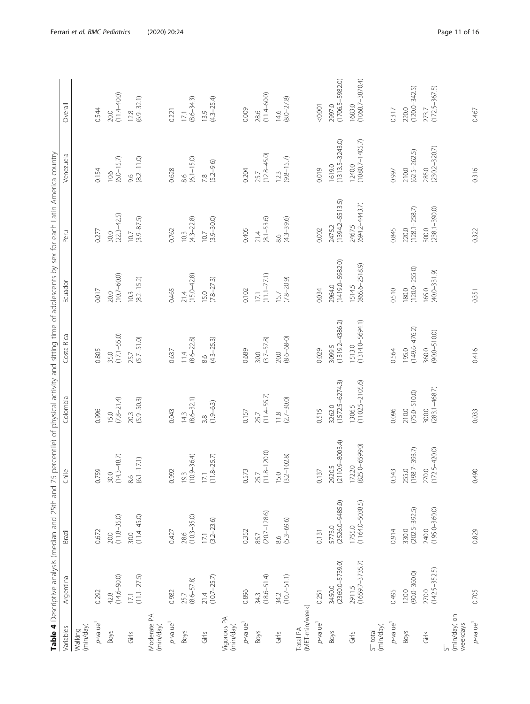<span id="page-10-0"></span>

|                                |                               | Table 4 Descriptive analysis (median and 25th and 75 percentile) of physical activity and sitting time of adolescents by sex for each Latin America country |                            |                               |                              |                               |                               |                               |                               |
|--------------------------------|-------------------------------|-------------------------------------------------------------------------------------------------------------------------------------------------------------|----------------------------|-------------------------------|------------------------------|-------------------------------|-------------------------------|-------------------------------|-------------------------------|
| Variables                      | Argentina                     | Brazil                                                                                                                                                      | Chile                      | Colombia                      | Costa Rica                   | Ecuador                       | Peru                          | Venezuela                     | Overall                       |
| Walking<br>(min/day)           |                               |                                                                                                                                                             |                            |                               |                              |                               |                               |                               |                               |
| $p$ -value <sup>1</sup>        | 0.292                         | 0.672                                                                                                                                                       | 0.759                      | 0.996                         | 0.805                        | 0.017                         | 0.277                         | 0.154                         | 0.544                         |
| Boys                           | $(14.6 - 90.0)$<br>42.8       | $20.0$<br>(11.8–35.0)                                                                                                                                       | $30.0$<br>(14.3–48.7)      | $(7.8 - 21.4)$<br>15.0        | $(17.1 - 55.0)$<br>35.0      | $(10.7 - 60.0)$<br>20.0       | $(22.3 - 42.5)$<br>30.0       | $(6.0 - 15.7)$<br>10.6        | $(11.4 - 40.0)$<br>20.0       |
| Girls                          | $17.1$<br>(11.1–27.5)         | $(11.4 - 45.0)$<br>30.0                                                                                                                                     | $\frac{8.6}{(6.1-17.1)}$   | $(5.9 - 50.3)$<br>20.3        | $(5.7 - 51.0)$<br>25.7       | $(8.2 - 15.2)$<br>10.3        | $(3.9 - 87.5)$<br>10.7        | $(8.2 - 11.0)$<br>9.6         | $12.8$<br>(6.9-32.1)          |
| Moderate PA<br>(min/day)       |                               |                                                                                                                                                             |                            |                               |                              |                               |                               |                               |                               |
| $p$ -value <sup>1</sup>        | 0.982                         | 0.427                                                                                                                                                       | 0.992                      | 0.043                         | 0.637                        | 0.465                         | 0.762                         | 0.628                         | 0.221                         |
| Boys                           | $(8.6 - 57.8)$<br>25.7        | $(10.3 - 35.0)$<br>28.6                                                                                                                                     | $19.3$<br>(10.9-36.4)      | $14.3$<br>(8.6-32.1)          | $\frac{114}{(8.6-22.8)}$     | $(15.0 - 42.8)$<br>21.4       | $(4.3 - 2.8)$<br>10.3         | $(6.1 - 15.0)$<br>8.6         | $17.1$<br>(8.6–34.3)          |
| Girls                          | $21.4$<br>(10.7-25.7)         | $\frac{17.1}{(3.2 - 23.6)}$                                                                                                                                 | $\frac{17.1}{(11.8-25.7)}$ | $\frac{3.8}{(1.9 - 6.3)}$     | $(4.3 - 25.3)$<br>8.6        | $\frac{15.0}{(7.8-27.3)}$     | $(3.9 - 30.0)$<br>107         | $7.8$<br>(5.2–9.6)            | $13.9$<br>(4.3–25.4)          |
| Vigorous PA<br>(min/day)       |                               |                                                                                                                                                             |                            |                               |                              |                               |                               |                               |                               |
| $p$ -value <sup>1</sup>        | 0.896                         | 0.352                                                                                                                                                       | 0.573                      | 0.157                         | 0.689                        | 0.102                         | 0.405                         | 0.204                         | 0.009                         |
| <b>Boys</b>                    | $(18.6 - 51.4)$<br>34.3       | $(20.7 - 128.6)$<br>85.7                                                                                                                                    | $25.7$<br>(11.8–120.0)     | $(11.4 - 55.7)$<br>25.7       | $30.0$<br>(3.7–57.8)         | $(111 - 77.1)$<br>17.1        | $21.4$<br>$(8.1 - 53.6)$      | $(12.8 - 45.0)$<br>25.7       | $(11.4 - 60.0)$<br>28.6       |
| Girls                          | $34.2$<br>(10.7–51.1)         | $(5.3 - 69.6)$<br>8.6                                                                                                                                       | $15.0$<br>$(3.2 - 102.8)$  | $\frac{11.8}{(2.7-30.0)}$     | $(8.6 - 68 - 0)$<br>20.0     | $(2.8 - 20.9)$<br>15.7        | $(4.3 - 39.6)$<br>8.6         | $(9.8 - 15.7)$<br>12.3        | $(8.0 - 27.8)$<br>14.6        |
| (MET-min/week)<br>Total PA     |                               |                                                                                                                                                             |                            |                               |                              |                               |                               |                               |                               |
| $p$ -value <sup>1</sup>        | 0.251                         | 0.131                                                                                                                                                       | 0.137                      | 0.515                         | 0.029                        | 0.034                         | 0.002                         | 0.019                         | 0.001                         |
| Boys                           | $(2360.0 - 5739.0)$<br>3450.0 | $(2526.0 - 9485.0)$<br>5773.0                                                                                                                               | 2920.5<br>(2110.9-8003.4)  | $(1572.5 - 6274.3)$<br>3262.0 | $(13192 - 4386.2)$<br>3099.5 | $(1419.0 - 5982.0)$<br>2964.0 | $(1394.2 - 5513.5)$<br>2475.2 | $(1313.5 - 3243.0)$<br>1619.0 | $(1706.5 - 5982.0)$<br>2997.0 |
| Girls                          | $(1659.7 - 3735.7)$<br>2911.5 | $(1164.0 - 5038.5)$<br>1755.0                                                                                                                               | 1722.0<br>(825.0-6599.0)   | $(1102.5 - 2105.6)$<br>1306.5 | $(13140 - 5694.1)$<br>1513.0 | $(865.6 - 2518.9)$<br>1514.5  | $(694.2 - 4443.7)$<br>2467.5  | $(1080.7 - 1405.7)$<br>1240.0 | $(1068.7 - 3870.4)$<br>1683.0 |
| (min/day)<br>ST total          |                               |                                                                                                                                                             |                            |                               |                              |                               |                               |                               |                               |
| $p$ -value <sup>1</sup>        | 0.495                         | 0.914                                                                                                                                                       | 0.543                      | 0.096                         | 0.564                        | 0.510                         | 0.845                         | 0.997                         | 0.317                         |
| Boys                           | $(0.095 - 0.06)$<br>120.0     | $(202.5 - 392.5)$<br>330.0                                                                                                                                  | 255.0<br>(198.7–393.7)     | $(75.0 - 510.0)$<br>210.0     | 195.0<br>(149.6–476.2)       | $(120.0 - 255.0)$<br>180.0    | $(128.1 - 258.7)$<br>220.0    | 210.0<br>(62.5–262.5)         | $(120.0 - 342.5)$<br>220.0    |
| Girls                          | 270.0<br>(142.5–352.5)        | $(195.0 - 360.0)$<br>240.0                                                                                                                                  | 270.0<br>(172.5-420.0)     | $(283.1 - 468.7)$<br>300.0    | 360.0<br>(90.0–510.0)        | $(40.0 - 331.9)$<br>165.0     | $(238.1 - 390.0)$<br>300.0    | 285.0<br>(230.2-320.7)        | $(172.5 - 367.5)$<br>273.7    |
| (min/day) on<br>weekdays<br>51 |                               |                                                                                                                                                             |                            |                               |                              |                               |                               |                               |                               |
| $p$ -value <sup>1</sup>        | 0.705                         | 0.829                                                                                                                                                       | 0.490                      | 0.033                         | 0.416                        | 0.351                         | 0.322                         | 0.316                         | 0.467                         |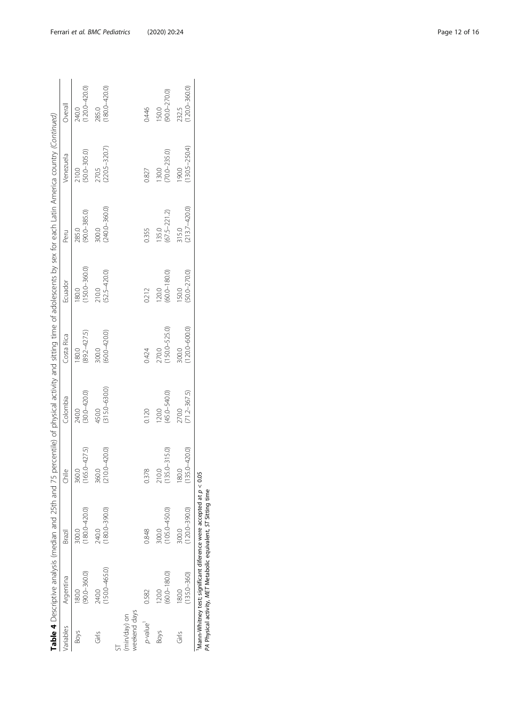|                              |                            | Table 4 Descriptive analysis (median and 25th and 75 percentile) of physical activity and sitting time of adolescents by sex for each Latin America country (Continued) |                            |                            |                            |                            |                            |                            |                            |
|------------------------------|----------------------------|-------------------------------------------------------------------------------------------------------------------------------------------------------------------------|----------------------------|----------------------------|----------------------------|----------------------------|----------------------------|----------------------------|----------------------------|
| Variables                    | Argentina                  | Brazil                                                                                                                                                                  | Chile                      | Colombia                   | Costa Rica                 | Ecuador                    | Peru                       | Venezuela                  | Overall                    |
| <b>Boys</b>                  | $(90.0 - 360.0)$<br>180.0  | $(180.0 - 420.0)$                                                                                                                                                       | $(165.0 - 427.5)$<br>360.0 | $(30.0 - 420.0)$<br>240.0  | $(89.2 - 427.5)$<br>180.0  | $(150.0 - 360.0)$<br>180.0 | $(90.0 - 385.0)$<br>285.0  | $(50.0 - 305.0)$<br>210.0  | $(120.0 - 420.0)$<br>240.0 |
| Girls                        | $(150.0 - 465.0)$<br>240.0 | $(180.0 - 390.0)$<br>240.0                                                                                                                                              | $(210.0 - 420.0)$<br>360.0 | $(315.0 - 630.0)$<br>450.0 | $(60.0 - 420.0)$<br>300.0  | $(52.5 - 420.0)$<br>210.0  | $(240.0 - 360.0)$<br>300.0 | $(220.5 - 320.7)$<br>270.5 | $(180.0 - 420.0)$<br>285.0 |
| weekend days<br>(min/day) on |                            |                                                                                                                                                                         |                            |                            |                            |                            |                            |                            |                            |
| p-value <sup>1</sup>         | 0.582                      | 0.848                                                                                                                                                                   | 0.378                      | 0.120                      | 0.424                      | 0.212                      | 0.355                      | 0.827                      | 0.446                      |
| Boys                         | $(60.0 - 180.0)$<br>120.0  | $105.0 - 450.0$<br>300.0                                                                                                                                                | $(135.0 - 315.0)$<br>210.0 | $(45.0 - 540.0)$<br>120.0  | $(150.0 - 525.0)$<br>270.0 | $(60.0 - 180.0)$<br>120.0  | $(67.5 - 221.2)$<br>135.0  | $(70.0 - 235.0)$<br>130.0  | $(90.0 - 270.0)$<br>150.0  |
| Girls                        | $(135.0 - 360)$<br>180.0   | 120.0-390.0)<br>300.0                                                                                                                                                   | $(135.0 - 420.0)$<br>180.0 | $(71.2 - 367.5)$<br>270.0  | $(120.0 - 600.0)$<br>300.0 | $(50.0 - 270.0)$<br>150.0  | $(213.7 - 420.0)$<br>315.0 | $(130.5 - 250.4)$<br>190.0 | $120.0 - 360.0$<br>232.5   |
|                              |                            | 'Mann-Whitney test; significant diference were accepted at $p < 0.05$<br>PA Physical activity, MET Metabolic equivalent, ST Sitting time                                |                            |                            |                            |                            |                            |                            |                            |

Ferrari et al. BMC Pediatrics (2020) 20:24 Page 12 of 16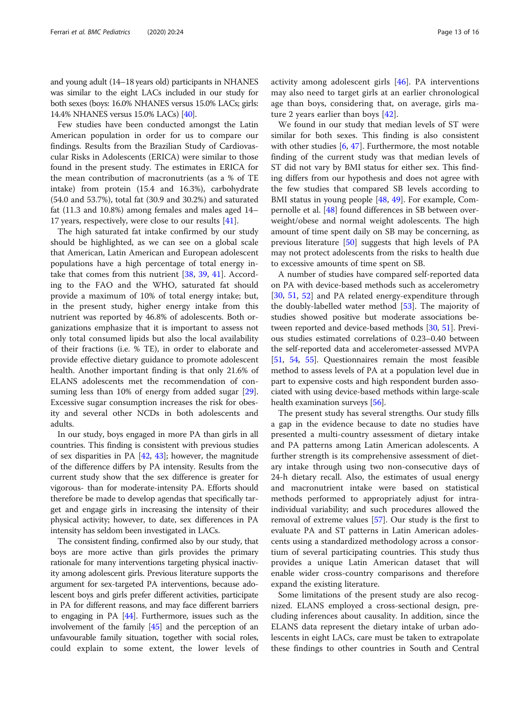and young adult (14–18 years old) participants in NHANES was similar to the eight LACs included in our study for both sexes (boys: 16.0% NHANES versus 15.0% LACs; girls: 14.4% NHANES versus 15.0% LACs) [[40](#page-15-0)].

Few studies have been conducted amongst the Latin American population in order for us to compare our findings. Results from the Brazilian Study of Cardiovascular Risks in Adolescents (ERICA) were similar to those found in the present study. The estimates in ERICA for the mean contribution of macronutrients (as a % of TE intake) from protein (15.4 and 16.3%), carbohydrate (54.0 and 53.7%), total fat (30.9 and 30.2%) and saturated fat (11.3 and 10.8%) among females and males aged 14– 17 years, respectively, were close to our results [\[41](#page-15-0)].

The high saturated fat intake confirmed by our study should be highlighted, as we can see on a global scale that American, Latin American and European adolescent populations have a high percentage of total energy intake that comes from this nutrient [[38](#page-15-0), [39,](#page-15-0) [41](#page-15-0)]. According to the FAO and the WHO, saturated fat should provide a maximum of 10% of total energy intake; but, in the present study, higher energy intake from this nutrient was reported by 46.8% of adolescents. Both organizations emphasize that it is important to assess not only total consumed lipids but also the local availability of their fractions (i.e. % TE), in order to elaborate and provide effective dietary guidance to promote adolescent health. Another important finding is that only 21.6% of ELANS adolescents met the recommendation of consuming less than 10% of energy from added sugar [\[29](#page-15-0)]. Excessive sugar consumption increases the risk for obesity and several other NCDs in both adolescents and adults.

In our study, boys engaged in more PA than girls in all countries. This finding is consistent with previous studies of sex disparities in PA [[42](#page-15-0), [43\]](#page-15-0); however, the magnitude of the difference differs by PA intensity. Results from the current study show that the sex difference is greater for vigorous- than for moderate-intensity PA. Efforts should therefore be made to develop agendas that specifically target and engage girls in increasing the intensity of their physical activity; however, to date, sex differences in PA intensity has seldom been investigated in LACs.

The consistent finding, confirmed also by our study, that boys are more active than girls provides the primary rationale for many interventions targeting physical inactivity among adolescent girls. Previous literature supports the argument for sex-targeted PA interventions, because adolescent boys and girls prefer different activities, participate in PA for different reasons, and may face different barriers to engaging in PA [\[44\]](#page-15-0). Furthermore, issues such as the involvement of the family [[45](#page-15-0)] and the perception of an unfavourable family situation, together with social roles, could explain to some extent, the lower levels of activity among adolescent girls [\[46](#page-15-0)]. PA interventions may also need to target girls at an earlier chronological age than boys, considering that, on average, girls mature 2 years earlier than boys [\[42](#page-15-0)].

We found in our study that median levels of ST were similar for both sexes. This finding is also consistent with other studies  $[6, 47]$  $[6, 47]$  $[6, 47]$  $[6, 47]$ . Furthermore, the most notable finding of the current study was that median levels of ST did not vary by BMI status for either sex. This finding differs from our hypothesis and does not agree with the few studies that compared SB levels according to BMI status in young people [\[48](#page-15-0), [49](#page-15-0)]. For example, Compernolle et al. [[48](#page-15-0)] found differences in SB between overweight/obese and normal weight adolescents. The high amount of time spent daily on SB may be concerning, as previous literature [[50](#page-15-0)] suggests that high levels of PA may not protect adolescents from the risks to health due to excessive amounts of time spent on SB.

A number of studies have compared self-reported data on PA with device-based methods such as accelerometry [[30,](#page-15-0) [51](#page-15-0), [52](#page-15-0)] and PA related energy-expenditure through the doubly-labelled water method [\[53](#page-15-0)]. The majority of studies showed positive but moderate associations between reported and device-based methods [[30,](#page-15-0) [51](#page-15-0)]. Previous studies estimated correlations of 0.23–0.40 between the self-reported data and accelerometer-assessed MVPA [[51](#page-15-0), [54](#page-15-0), [55\]](#page-15-0). Questionnaires remain the most feasible method to assess levels of PA at a population level due in part to expensive costs and high respondent burden associated with using device-based methods within large-scale health examination surveys [\[56\]](#page-15-0).

The present study has several strengths. Our study fills a gap in the evidence because to date no studies have presented a multi-country assessment of dietary intake and PA patterns among Latin American adolescents. A further strength is its comprehensive assessment of dietary intake through using two non-consecutive days of 24-h dietary recall. Also, the estimates of usual energy and macronutrient intake were based on statistical methods performed to appropriately adjust for intraindividual variability; and such procedures allowed the removal of extreme values [[57](#page-15-0)]. Our study is the first to evaluate PA and ST patterns in Latin American adolescents using a standardized methodology across a consortium of several participating countries. This study thus provides a unique Latin American dataset that will enable wider cross-country comparisons and therefore expand the existing literature.

Some limitations of the present study are also recognized. ELANS employed a cross-sectional design, precluding inferences about causality. In addition, since the ELANS data represent the dietary intake of urban adolescents in eight LACs, care must be taken to extrapolate these findings to other countries in South and Central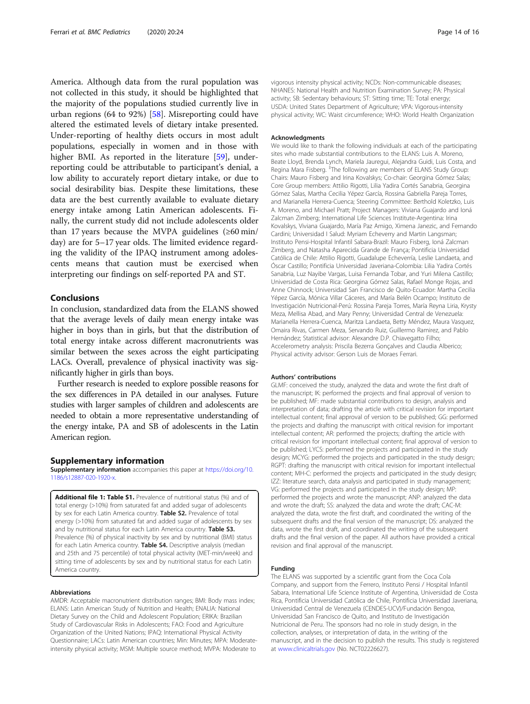<span id="page-13-0"></span>America. Although data from the rural population was not collected in this study, it should be highlighted that the majority of the populations studied currently live in urban regions (64 to 92%) [[58\]](#page-15-0). Misreporting could have altered the estimated levels of dietary intake presented. Under-reporting of healthy diets occurs in most adult populations, especially in women and in those with higher BMI. As reported in the literature [\[59\]](#page-15-0), underreporting could be attributable to participant's denial, a low ability to accurately report dietary intake, or due to social desirability bias. Despite these limitations, these data are the best currently available to evaluate dietary energy intake among Latin American adolescents. Finally, the current study did not include adolescents older than 17 years because the MVPA guidelines  $(\geq 60 \text{ min/}$ day) are for 5–17 year olds. The limited evidence regarding the validity of the IPAQ instrument among adolescents means that caution must be exercised when interpreting our findings on self-reported PA and ST.

# Conclusions

In conclusion, standardized data from the ELANS showed that the average levels of daily mean energy intake was higher in boys than in girls, but that the distribution of total energy intake across different macronutrients was similar between the sexes across the eight participating LACs. Overall, prevalence of physical inactivity was significantly higher in girls than boys.

Further research is needed to explore possible reasons for the sex differences in PA detailed in our analyses. Future studies with larger samples of children and adolescents are needed to obtain a more representative understanding of the energy intake, PA and SB of adolescents in the Latin American region.

# Supplementary information

Supplementary information accompanies this paper at [https://doi.org/10.](https://doi.org/10.1186/s12887-020-1920-x) [1186/s12887-020-1920-x](https://doi.org/10.1186/s12887-020-1920-x).

Additional file 1: Table S1. Prevalence of nutritional status (%) and of total energy (>10%) from saturated fat and added sugar of adolescents by sex for each Latin America country. Table S2. Prevalence of total energy (>10%) from saturated fat and added sugar of adolescents by sex and by nutritional status for each Latin America country. Table S3. Prevalence (%) of physical inactivity by sex and by nutritional (BMI) status for each Latin America country. Table S4. Descriptive analysis (median and 25th and 75 percentile) of total physical activity (MET-min/week) and sitting time of adolescents by sex and by nutritional status for each Latin America country.

#### Abbreviations

AMDR: Acceptable macronutrient distribution ranges; BMI: Body mass index; ELANS: Latin American Study of Nutrition and Health; ENALIA: National Dietary Survey on the Child and Adolescent Population; ERIKA: Brazilian Study of Cardiovascular Risks in Adolescents; FAO: Food and Agriculture Organization of the United Nations; IPAQ: International Physical Activity Questionnaire; LACs: Latin American countries; Min: Minutes; MPA: Moderateintensity physical activity; MSM: Multiple source method; MVPA: Moderate to

vigorous intensity physical activity; NCDs: Non-communicable diseases; NHANES: National Health and Nutrition Examination Survey; PA: Physical activity; SB: Sedentary behaviours; ST: Sitting time; TE: Total energy; USDA: United States Department of Agriculture; VPA: Vigorous-intensity physical activity; WC: Waist circumference; WHO: World Health Organization

#### Acknowledgments

We would like to thank the following individuals at each of the participating sites who made substantial contributions to the ELANS: Luis A. Moreno, Beate Lloyd, Brenda Lynch, Mariela Jauregui, Alejandra Guidi, Luis Costa, and Regina Mara Fisberg. <sup>‡</sup>The following are members of ELANS Study Group: Chairs: Mauro Fisberg and Irina Kovalskys; Co-chair: Georgina Gómez Salas; Core Group members: Attilio Rigotti, Lilia Yadira Cortés Sanabria, Georgina Gómez Salas, Martha Cecilia Yépez García, Rossina Gabriella Pareja Torres, and Marianella Herrera-Cuenca; Steering Committee: Berthold Koletzko, Luis A. Moreno, and Michael Pratt; Project Managers: Viviana Guajardo and Ioná Zalcman Zimberg; International Life Sciences Institute-Argentina: Irina Kovalskys, Viviana Guajardo, María Paz Amigo, Ximena Janezic, and Fernando Cardini; Universidad I Salud: Myriam Echeverry and Martin Langsman; Instituto Pensi-Hospital Infantil Sabara-Brazil: Mauro Fisberg, Ioná Zalcman Zimberg, and Natasha Aparecida Grande de França; Pontificia Universidad Católica de Chile: Attilio Rigotti, Guadalupe Echeverría, Leslie Landaeta, and Óscar Castillo; Pontificia Universidad Javeriana-Colombia: Lilia Yadira Cortés Sanabria, Luz Nayibe Vargas, Luisa Fernanda Tobar, and Yuri Milena Castillo; Universidad de Costa Rica: Georgina Gómez Salas, Rafael Monge Rojas, and Anne Chinnock; Universidad San Francisco de Quito-Ecuador: Martha Cecilia Yépez García, Mónica Villar Cáceres, and María Belén Ocampo; Instituto de Investigación Nutricional-Perú: Rossina Pareja Torres, María Reyna Liria, Krysty Meza, Mellisa Abad, and Mary Penny; Universidad Central de Venezuela: Marianella Herrera-Cuenca, Maritza Landaeta, Betty Méndez, Maura Vasquez, Omaira Rivas, Carmen Meza, Servando Ruiz, Guillermo Ramirez, and Pablo Hernández; Statistical advisor: Alexandre D.P. Chiavegatto Filho; Accelerometry analysis: Priscila Bezerra Gonçalves and Claudia Alberico; Physical activity advisor: Gerson Luis de Moraes Ferrari.

#### Authors' contributions

GLMF: conceived the study, analyzed the data and wrote the first draft of the manuscript; IK: performed the projects and final approval of version to be published; MF: made substantial contributions to design, analysis and interpretation of data; drafting the article with critical revision for important intellectual content; final approval of version to be published; GG: performed the projects and drafting the manuscript with critical revision for important intellectual content; AR: performed the projects; drafting the article with critical revision for important intellectual content; final approval of version to be published; LYCS: performed the projects and participated in the study design; MCYG: performed the projects and participated in the study design; RGPT: drafting the manuscript with critical revision for important intellectual content; MH-C: performed the projects and participated in the study design; IZZ: literature search, data analysis and participated in study management; VG: performed the projects and participated in the study design; MP: performed the projects and wrote the manuscript; ANP: analyzed the data and wrote the draft; SS: analyzed the data and wrote the draft; CAC-M: analyzed the data, wrote the first draft, and coordinated the writing of the subsequent drafts and the final version of the manuscript; DS: analyzed the data, wrote the first draft, and coordinated the writing of the subsequent drafts and the final version of the paper. All authors have provided a critical revision and final approval of the manuscript.

#### Funding

The ELANS was supported by a scientific grant from the Coca Cola Company, and support from the Ferrero, Instituto Pensi / Hospital Infantil Sabara, International Life Science Institute of Argentina, Universidad de Costa Rica, Pontificia Universidad Católica de Chile, Pontificia Universidad Javeriana, Universidad Central de Venezuela (CENDES-UCV)/Fundación Bengoa, Universidad San Francisco de Quito, and Instituto de Investigación Nutricional de Peru. The sponsors had no role in study design, in the collection, analyses, or interpretation of data, in the writing of the manuscript, and in the decision to publish the results. This study is registered at [www.clinicaltrials.gov](http://www.clinicaltrials.gov) (No. NCT02226627).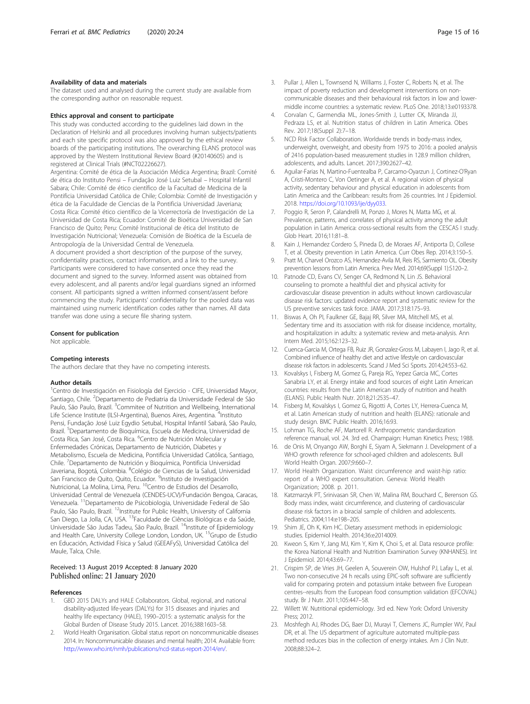#### <span id="page-14-0"></span>Availability of data and materials

The dataset used and analysed during the current study are available from the corresponding author on reasonable request.

#### Ethics approval and consent to participate

This study was conducted according to the guidelines laid down in the Declaration of Helsinki and all procedures involving human subjects/patients and each site specific protocol was also approved by the ethical review boards of the participating institutions. The overarching ELANS protocol was approved by the Western Institutional Review Board (#20140605) and is registered at Clinical Trials (#NCT02226627).

Argentina: Comité de ética de la Asociación Médica Argentina; Brazil: Comité de ética do Instituto Pensi – Fundação José Luiz Setubal – Hospital Infantil Sabara; Chile: Comité de ético científico de la Facultad de Medicina de la Pontificia Universidad Católica de Chile; Colombia: Comité de Investigación y ética de la Faculdade de Ciencias de la Pontificia Universidad Javeriana; Costa Rica: Comité ético científico de la Vicerrectoría de Investigación de La Universidad de Costa Rica; Ecuador: Comité de Bioética Universidad de San Francisco de Quito; Peru: Comité Institucional de ética del Instituto de Investigación Nutricional; Venezuela: Comisión de Bioética de la Escuela de Antropología de la Universidad Central de Venezuela.

A document provided a short description of the purpose of the survey, confidentiality practices, contact information, and a link to the survey. Participants were considered to have consented once they read the document and signed to the survey. Informed assent was obtained from every adolescent, and all parents and/or legal guardians signed an informed consent. All participants signed a written informed consent/assent before commencing the study. Participants' confidentiality for the pooled data was maintained using numeric identification codes rather than names. All data transfer was done using a secure file sharing system.

#### Consent for publication

Not applicable.

#### Competing interests

The authors declare that they have no competing interests.

#### Author details

<sup>1</sup>Centro de Investigación en Fisiología del Ejercicio - CIFE, Universidad Mayor, Santiago, Chile. <sup>2</sup>Departamento de Pediatria da Universidade Federal de São Paulo, São Paulo, Brazil. <sup>3</sup> Commitee of Nutrition and Wellbeing, International Life Science Institute (ILSI-Argentina), Buenos Aires, Argentina. <sup>4</sup>Instituto Pensi, Fundação José Luiz Egydio Setubal, Hospital Infantil Sabará, São Paulo, Brazil. <sup>5</sup>Departamento de Bioquímica, Escuela de Medicina, Universidad de Costa Rica, San José, Costa Rica. <sup>6</sup>Centro de Nutrición Molecular y Enfermedades Crónicas, Departamento de Nutrición, Diabetes y Metabolismo, Escuela de Medicina, Pontificia Universidad Católica, Santiago, Chile. <sup>7</sup>Departamento de Nutrición y Bioquímica, Pontificia Universidad Javeriana, Bogotá, Colombia. <sup>8</sup>Colégio de Ciencias de la Salud, Universidad San Francisco de Quito, Quito, Ecuador. <sup>9</sup>Instituto de Investigación Nutricional, La Molina, Lima, Peru. 10Centro de Estudios del Desarrollo, Universidad Central de Venezuela (CENDES-UCV)/Fundación Bengoa, Caracas, Venezuela. 11Departamento de Psicobiologia, Universidade Federal de São Paulo, São Paulo, Brazil. <sup>12</sup>Institute for Public Health, University of California San Diego, La Jolla, CA, USA. 13Faculdade de Ciências Biológicas e da Saúde, Universidade São Judas Tadeu, São Paulo, Brazil. <sup>14</sup>Institute of Epidemiology and Health Care, University College London, London, UK. <sup>15</sup>Grupo de Estudio en Educación, Actividad Física y Salud (GEEAFyS), Universidad Católica del Maule, Talca, Chile.

#### Received: 13 August 2019 Accepted: 8 January 2020 Published online: 21 January 2020

#### References

- 1. GBD 2015 DALYs and HALE Collaborators. Global, regional, and national disability-adjusted life-years (DALYs) for 315 diseases and injuries and healthy life expectancy (HALE), 1990–2015: a systematic analysis for the Global Burden of Disease Study 2015. Lancet. 2016;388:1603–58.
- 2. World Health Organisation. Global status report on noncommunicable diseases 2014. In: Noncommunicable diseases and mental health; 2014. Available from: [http://www.who.int/nmh/publications/ncd-status-report-2014/en/.](http://www.who.int/nmh/publications/ncd-status-report-2014/en/)
- 3. Pullar J, Allen L, Townsend N, Williams J, Foster C, Roberts N, et al. The impact of poverty reduction and development interventions on noncommunicable diseases and their behavioural risk factors in low and lowermiddle income countries: a systematic review. PLoS One. 2018;13:e0193378.
- 4. Corvalan C, Garmendia ML, Jones-Smith J, Lutter CK, Miranda JJ, Pedraza LS, et al. Nutrition status of children in Latin America. Obes Rev. 2017;18(Suppl 2):7–18.
- 5. NCD Risk Factor Collaboration. Worldwide trends in body-mass index, underweight, overweight, and obesity from 1975 to 2016: a pooled analysis of 2416 population-based measurement studies in 128.9 million children, adolescents, and adults. Lancet. 2017;390:2627–42.
- 6. Aguilar-Farias N, Martino-Fuentealba P, Carcamo-Oyarzun J, Cortinez-O'Ryan A, Cristi-Montero C, Von Oetinger A, et al. A regional vision of physical activity, sedentary behaviour and physical education in adolescents from Latin America and the Caribbean: results from 26 countries. Int J Epidemiol. 2018. <https://doi.org/10.1093/ije/dyy033>.
- 7. Poggio R, Seron P, Calandrelli M, Ponzo J, Mores N, Matta MG, et al. Prevalence, patterns, and correlates of physical activity among the adult population in Latin America: cross-sectional results from the CESCAS I study. Glob Heart. 2016;11:81–8.
- 8. Kain J, Hernandez Cordero S, Pineda D, de Moraes AF, Antiporta D, Collese T, et al. Obesity prevention in Latin America. Curr Obes Rep. 2014;3:150–5.
- 9. Pratt M, Charvel Orozco AS, Hernandez-Avila M, Reis RS, Sarmiento OL. Obesity prevention lessons from Latin America. Prev Med. 2014;69(Suppl 1):S120–2.
- 10. Patnode CD, Evans CV, Senger CA, Redmond N, Lin JS. Behavioral counseling to promote a healthful diet and physical activity for cardiovascular disease prevention in adults without known cardiovascular disease risk factors: updated evidence report and systematic review for the US preventive services task force. JAMA. 2017;318:175–93.
- 11. Biswas A, Oh PI, Faulkner GE, Bajaj RR, Silver MA, Mitchell MS, et al. Sedentary time and its association with risk for disease incidence, mortality, and hospitalization in adults: a systematic review and meta-analysis. Ann Intern Med. 2015;162:123–32.
- 12. Cuenca-Garcia M, Ortega FB, Ruiz JR, Gonzalez-Gross M, Labayen I, Jago R, et al. Combined influence of healthy diet and active lifestyle on cardiovascular disease risk factors in adolescents. Scand J Med Sci Sports. 2014;24:553–62.
- 13. Kovalskys I, Fisberg M, Gomez G, Pareja RG, Yepez Garcia MC, Cortes Sanabria LY, et al. Energy intake and food sources of eight Latin American countries: results from the Latin American study of nutrition and health (ELANS). Public Health Nutr. 2018;21:2535–47.
- 14. Fisberg M, Kovalskys I, Gomez G, Rigotti A, Cortes LY, Herrera-Cuenca M, et al. Latin American study of nutrition and health (ELANS): rationale and study design. BMC Public Health. 2016;16:93.
- 15. Lohman TG, Roche AF, Martorell R. Anthropometric standardization reference manual, vol. 24. 3rd ed. Champaign: Human Kinetics Press; 1988.
- 16. de Onis M, Onyango AW, Borghi E, Siyam A, Siekmann J. Development of a WHO growth reference for school-aged children and adolescents. Bull World Health Organ. 2007;9:660–7.
- 17. World Health Organization. Waist circumference and waist-hip ratio: report of a WHO expert consultation. Geneva: World Health Organization; 2008. p. 2011.
- 18. Katzmarzyk PT, Srinivasan SR, Chen W, Malina RM, Bouchard C, Berenson GS. Body mass index, waist circumference, and clustering of cardiovascular disease risk factors in a biracial sample of children and adolescents. Pediatrics. 2004;114:e198–205.
- 19. Shim JE, Oh K, Kim HC. Dietary assessment methods in epidemiologic studies. Epidemiol Health. 2014;36:e2014009.
- 20. Kweon S, Kim Y, Jang MJ, Kim Y, Kim K, Choi S, et al. Data resource profile: the Korea National Health and Nutrition Examination Survey (KNHANES). Int J Epidemiol. 2014;43:69–77.
- 21. Crispim SP, de Vries JH, Geelen A, Souverein OW, Hulshof PJ, Lafay L, et al. Two non-consecutive 24 h recalls using EPIC-soft software are sufficiently valid for comparing protein and potassium intake between five European centres--results from the European food consumption validation (EFCOVAL) study. Br J Nutr. 2011;105:447–58.
- 22. Willett W. Nutritional epidemiology. 3rd ed. New York: Oxford University Press; 2012.
- 23. Moshfegh AJ, Rhodes DG, Baer DJ, Murayi T, Clemens JC, Rumpler WV, Paul DR, et al. The US department of agriculture automated multiple-pass method reduces bias in the collection of energy intakes. Am J Clin Nutr. 2008;88:324–2.